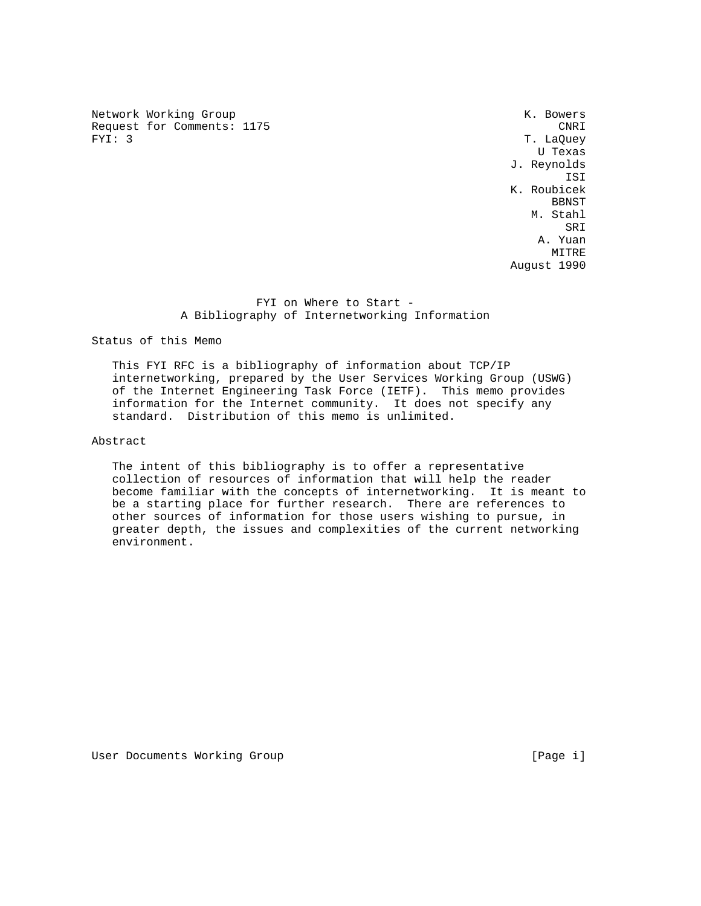Network Working Group and the set of the set of the set of the set of the set of the set of the set of the set o Request for Comments: 1175 CNRI<br>
FYI: 3 T. LaOuey

T. LaQuey U Texas J. Reynolds ISI K. Roubicek **BENST**  M. Stahl SRI SANTO STANDARDI SE SE UN SERIE DE SANTO DE SERIE DE SANTO DE SANTO DE SANTO DE SANTO DE SANTO DE SANTO DE A. Yuan **MITRE** August 1990

## FYI on Where to Start -A Bibliography of Internetworking Information

Status of this Memo

 This FYI RFC is a bibliography of information about TCP/IP internetworking, prepared by the User Services Working Group (USWG) of the Internet Engineering Task Force (IETF). This memo provides information for the Internet community. It does not specify any standard. Distribution of this memo is unlimited.

## Abstract

 The intent of this bibliography is to offer a representative collection of resources of information that will help the reader become familiar with the concepts of internetworking. It is meant to be a starting place for further research. There are references to other sources of information for those users wishing to pursue, in greater depth, the issues and complexities of the current networking environment.

User Documents Working Group and the control of the control of the control of the control of the control of the control of the control of the control of the control of the control of the control of the control of the contr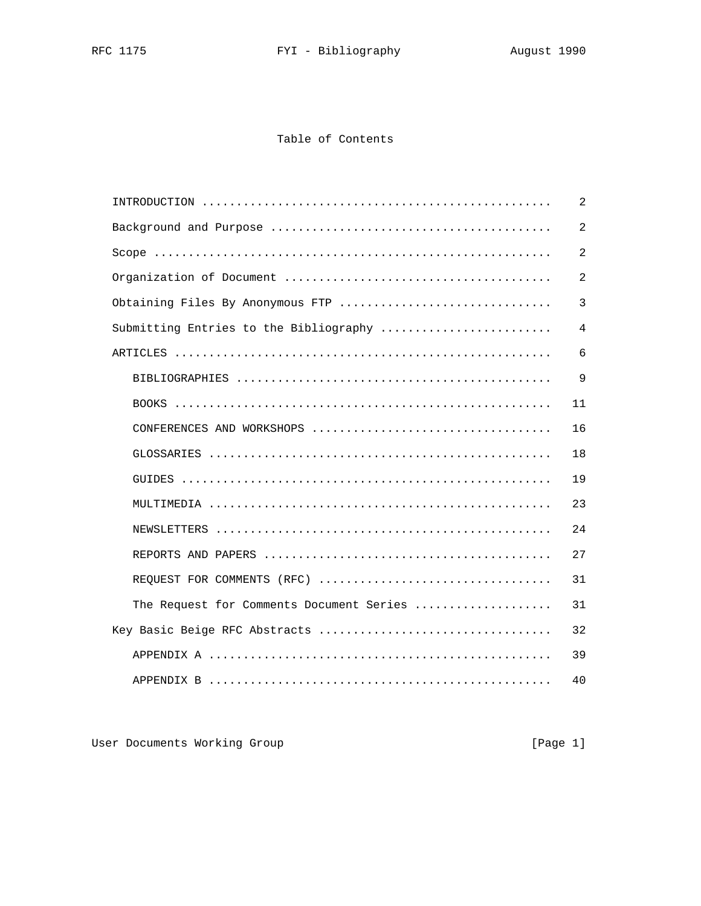## Table of Contents

|                                          | 2              |
|------------------------------------------|----------------|
|                                          | $\overline{2}$ |
|                                          | $\overline{2}$ |
|                                          | $\overline{2}$ |
| Obtaining Files By Anonymous FTP         | 3              |
| Submitting Entries to the Bibliography   | $\sqrt{4}$     |
|                                          | 6              |
|                                          | 9              |
|                                          | 11             |
|                                          | 16             |
|                                          | 18             |
|                                          | 19             |
|                                          | 23             |
|                                          | 24             |
|                                          | 27             |
| REQUEST FOR COMMENTS (RFC)               | 31             |
| The Request for Comments Document Series | 31             |
|                                          | 32             |
|                                          | 39             |
|                                          | 40             |

User Documents Working Group **[Page 1]**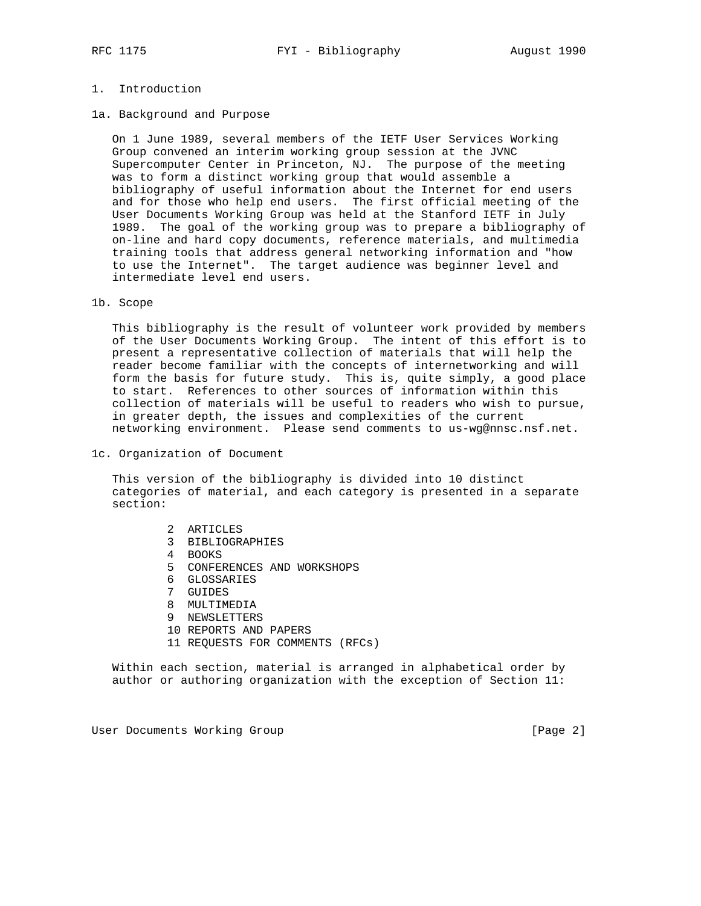### 1. Introduction

1a. Background and Purpose

 On 1 June 1989, several members of the IETF User Services Working Group convened an interim working group session at the JVNC Supercomputer Center in Princeton, NJ. The purpose of the meeting was to form a distinct working group that would assemble a bibliography of useful information about the Internet for end users and for those who help end users. The first official meeting of the User Documents Working Group was held at the Stanford IETF in July 1989. The goal of the working group was to prepare a bibliography of on-line and hard copy documents, reference materials, and multimedia training tools that address general networking information and "how to use the Internet". The target audience was beginner level and intermediate level end users.

#### 1b. Scope

 This bibliography is the result of volunteer work provided by members of the User Documents Working Group. The intent of this effort is to present a representative collection of materials that will help the reader become familiar with the concepts of internetworking and will form the basis for future study. This is, quite simply, a good place to start. References to other sources of information within this collection of materials will be useful to readers who wish to pursue, in greater depth, the issues and complexities of the current networking environment. Please send comments to us-wg@nnsc.nsf.net.

1c. Organization of Document

 This version of the bibliography is divided into 10 distinct categories of material, and each category is presented in a separate section:

- 2 ARTICLES
- 3 BIBLIOGRAPHIES
- 4 BOOKS
- 5 CONFERENCES AND WORKSHOPS
- 6 GLOSSARIES
- 7 GUIDES
- 8 MULTIMEDIA
- 9 NEWSLETTERS
- 10 REPORTS AND PAPERS
- 11 REQUESTS FOR COMMENTS (RFCs)

 Within each section, material is arranged in alphabetical order by author or authoring organization with the exception of Section 11:

User Documents Working Group [Page 2]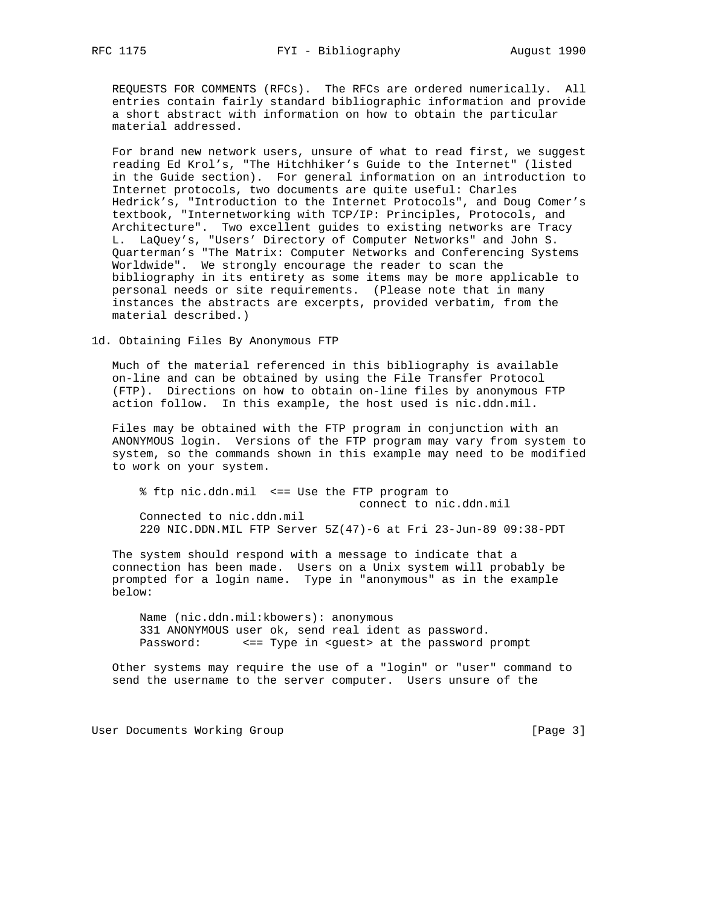REQUESTS FOR COMMENTS (RFCs). The RFCs are ordered numerically. All entries contain fairly standard bibliographic information and provide a short abstract with information on how to obtain the particular material addressed.

 For brand new network users, unsure of what to read first, we suggest reading Ed Krol's, "The Hitchhiker's Guide to the Internet" (listed in the Guide section). For general information on an introduction to Internet protocols, two documents are quite useful: Charles Hedrick's, "Introduction to the Internet Protocols", and Doug Comer's textbook, "Internetworking with TCP/IP: Principles, Protocols, and Architecture". Two excellent guides to existing networks are Tracy L. LaQuey's, "Users' Directory of Computer Networks" and John S. Quarterman's "The Matrix: Computer Networks and Conferencing Systems Worldwide". We strongly encourage the reader to scan the bibliography in its entirety as some items may be more applicable to personal needs or site requirements. (Please note that in many instances the abstracts are excerpts, provided verbatim, from the material described.)

1d. Obtaining Files By Anonymous FTP

 Much of the material referenced in this bibliography is available on-line and can be obtained by using the File Transfer Protocol (FTP). Directions on how to obtain on-line files by anonymous FTP action follow. In this example, the host used is nic.ddn.mil.

 Files may be obtained with the FTP program in conjunction with an ANONYMOUS login. Versions of the FTP program may vary from system to system, so the commands shown in this example may need to be modified to work on your system.

 % ftp nic.ddn.mil <== Use the FTP program to connect to nic.ddn.mil Connected to nic.ddn.mil 220 NIC.DDN.MIL FTP Server 5Z(47)-6 at Fri 23-Jun-89 09:38-PDT

 The system should respond with a message to indicate that a connection has been made. Users on a Unix system will probably be prompted for a login name. Type in "anonymous" as in the example below:

 Name (nic.ddn.mil:kbowers): anonymous 331 ANONYMOUS user ok, send real ident as password. Password: <== Type in <guest> at the password prompt

 Other systems may require the use of a "login" or "user" command to send the username to the server computer. Users unsure of the

User Documents Working Group [Page 3]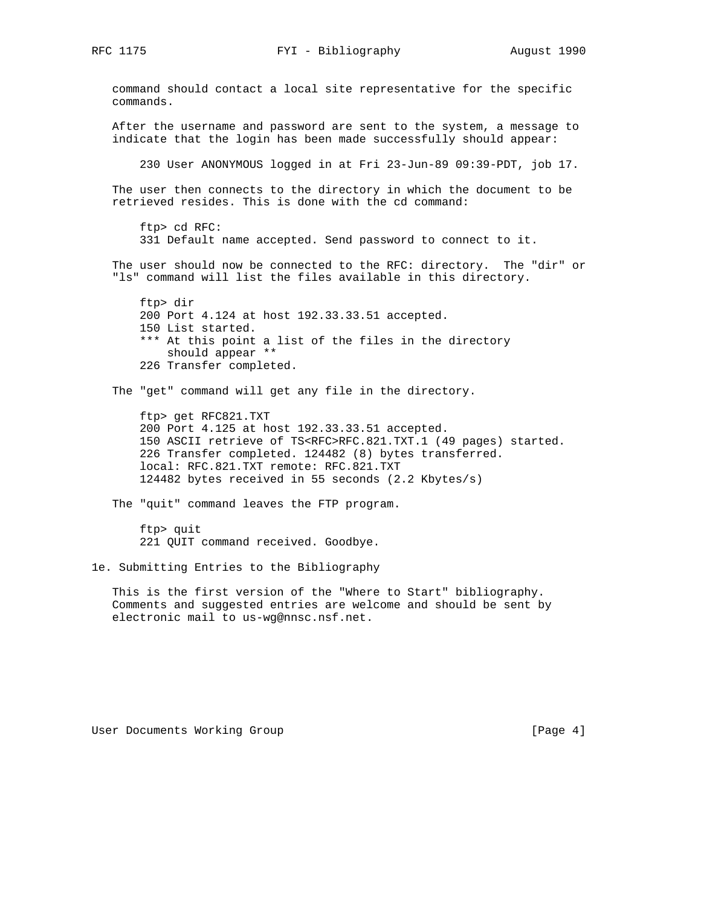RFC 1175 FYI - Bibliography August 1990

 command should contact a local site representative for the specific commands. After the username and password are sent to the system, a message to indicate that the login has been made successfully should appear: 230 User ANONYMOUS logged in at Fri 23-Jun-89 09:39-PDT, job 17. The user then connects to the directory in which the document to be retrieved resides. This is done with the cd command: ftp> cd RFC: 331 Default name accepted. Send password to connect to it. The user should now be connected to the RFC: directory. The "dir" or "ls" command will list the files available in this directory. ftp> dir 200 Port 4.124 at host 192.33.33.51 accepted. 150 List started. \*\*\* At this point a list of the files in the directory should appear \*\* 226 Transfer completed. The "get" command will get any file in the directory. ftp> get RFC821.TXT 200 Port 4.125 at host 192.33.33.51 accepted. 150 ASCII retrieve of TS<RFC>RFC.821.TXT.1 (49 pages) started. 226 Transfer completed. 124482 (8) bytes transferred. local: RFC.821.TXT remote: RFC.821.TXT 124482 bytes received in 55 seconds (2.2 Kbytes/s) The "quit" command leaves the FTP program. ftp> quit 221 QUIT command received. Goodbye. 1e. Submitting Entries to the Bibliography This is the first version of the "Where to Start" bibliography.

 Comments and suggested entries are welcome and should be sent by electronic mail to us-wg@nnsc.nsf.net.

User Documents Working Group and the contract of the contract of the contract of the contract of the US of the C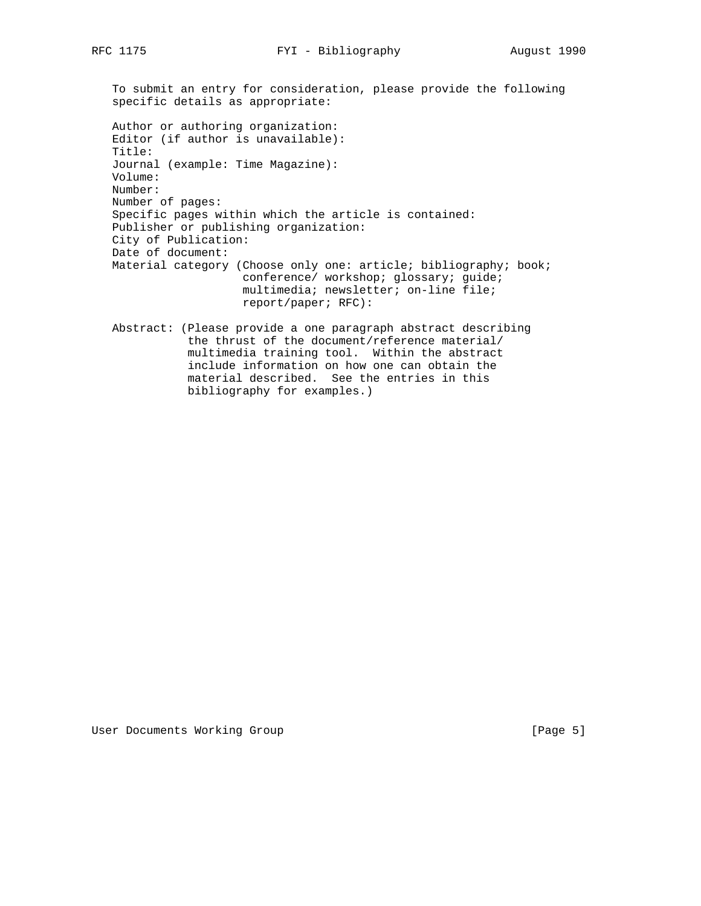To submit an entry for consideration, please provide the following specific details as appropriate: Author or authoring organization: Editor (if author is unavailable): Title: Journal (example: Time Magazine): Volume: Number: Number of pages: Specific pages within which the article is contained: Publisher or publishing organization: City of Publication: Date of document: Material category (Choose only one: article; bibliography; book; conference/ workshop; glossary; guide; multimedia; newsletter; on-line file; report/paper; RFC): Abstract: (Please provide a one paragraph abstract describing the thrust of the document/reference material/ multimedia training tool. Within the abstract include information on how one can obtain the

material described. See the entries in this

bibliography for examples.)

User Documents Working Group [Page 5]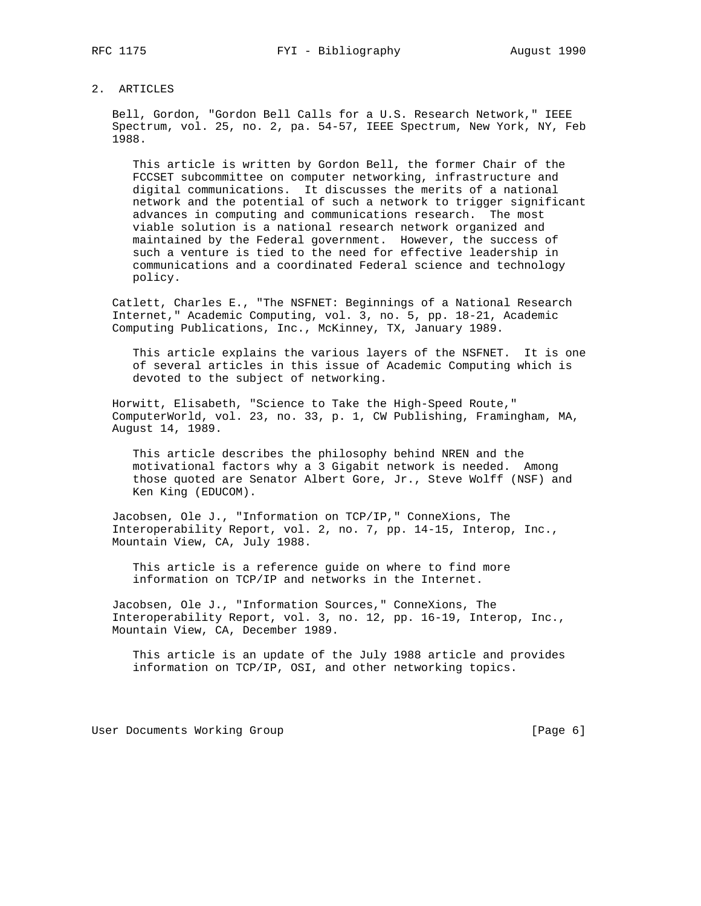### 2. ARTICLES

 Bell, Gordon, "Gordon Bell Calls for a U.S. Research Network," IEEE Spectrum, vol. 25, no. 2, pa. 54-57, IEEE Spectrum, New York, NY, Feb 1988.

 This article is written by Gordon Bell, the former Chair of the FCCSET subcommittee on computer networking, infrastructure and digital communications. It discusses the merits of a national network and the potential of such a network to trigger significant advances in computing and communications research. The most viable solution is a national research network organized and maintained by the Federal government. However, the success of such a venture is tied to the need for effective leadership in communications and a coordinated Federal science and technology policy.

 Catlett, Charles E., "The NSFNET: Beginnings of a National Research Internet," Academic Computing, vol. 3, no. 5, pp. 18-21, Academic Computing Publications, Inc., McKinney, TX, January 1989.

 This article explains the various layers of the NSFNET. It is one of several articles in this issue of Academic Computing which is devoted to the subject of networking.

 Horwitt, Elisabeth, "Science to Take the High-Speed Route," ComputerWorld, vol. 23, no. 33, p. 1, CW Publishing, Framingham, MA, August 14, 1989.

 This article describes the philosophy behind NREN and the motivational factors why a 3 Gigabit network is needed. Among those quoted are Senator Albert Gore, Jr., Steve Wolff (NSF) and Ken King (EDUCOM).

 Jacobsen, Ole J., "Information on TCP/IP," ConneXions, The Interoperability Report, vol. 2, no. 7, pp. 14-15, Interop, Inc., Mountain View, CA, July 1988.

 This article is a reference guide on where to find more information on TCP/IP and networks in the Internet.

 Jacobsen, Ole J., "Information Sources," ConneXions, The Interoperability Report, vol. 3, no. 12, pp. 16-19, Interop, Inc., Mountain View, CA, December 1989.

 This article is an update of the July 1988 article and provides information on TCP/IP, OSI, and other networking topics.

User Documents Working Group and the contract of the contract of the contract of the contract of the UP of the C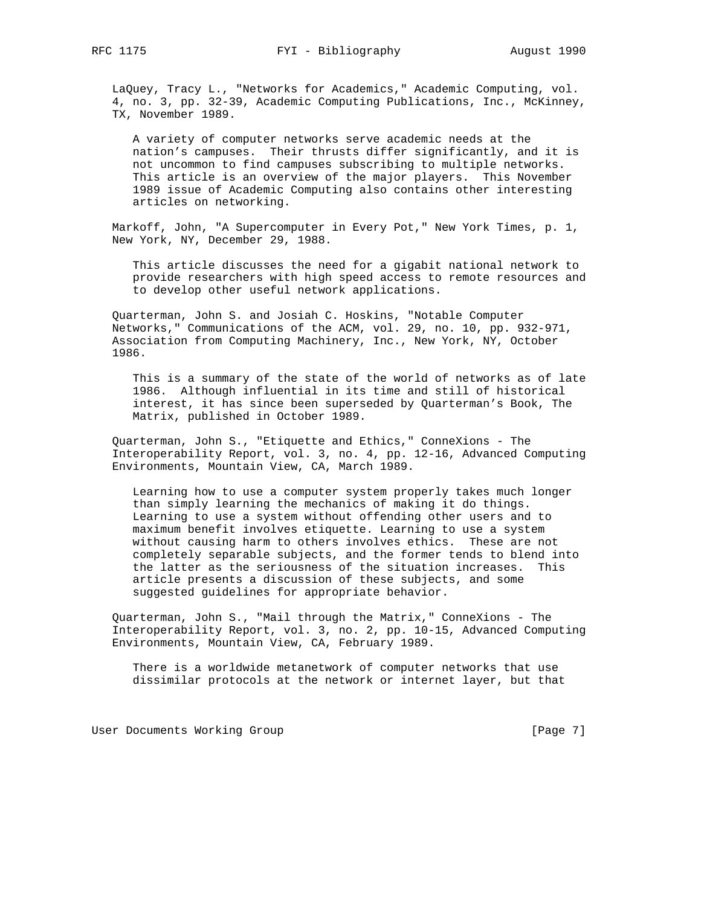LaQuey, Tracy L., "Networks for Academics," Academic Computing, vol. 4, no. 3, pp. 32-39, Academic Computing Publications, Inc., McKinney, TX, November 1989.

 A variety of computer networks serve academic needs at the nation's campuses. Their thrusts differ significantly, and it is not uncommon to find campuses subscribing to multiple networks. This article is an overview of the major players. This November 1989 issue of Academic Computing also contains other interesting articles on networking.

 Markoff, John, "A Supercomputer in Every Pot," New York Times, p. 1, New York, NY, December 29, 1988.

 This article discusses the need for a gigabit national network to provide researchers with high speed access to remote resources and to develop other useful network applications.

 Quarterman, John S. and Josiah C. Hoskins, "Notable Computer Networks," Communications of the ACM, vol. 29, no. 10, pp. 932-971, Association from Computing Machinery, Inc., New York, NY, October 1986.

 This is a summary of the state of the world of networks as of late 1986. Although influential in its time and still of historical interest, it has since been superseded by Quarterman's Book, The Matrix, published in October 1989.

 Quarterman, John S., "Etiquette and Ethics," ConneXions - The Interoperability Report, vol. 3, no. 4, pp. 12-16, Advanced Computing Environments, Mountain View, CA, March 1989.

 Learning how to use a computer system properly takes much longer than simply learning the mechanics of making it do things. Learning to use a system without offending other users and to maximum benefit involves etiquette. Learning to use a system without causing harm to others involves ethics. These are not completely separable subjects, and the former tends to blend into the latter as the seriousness of the situation increases. This article presents a discussion of these subjects, and some suggested guidelines for appropriate behavior.

 Quarterman, John S., "Mail through the Matrix," ConneXions - The Interoperability Report, vol. 3, no. 2, pp. 10-15, Advanced Computing Environments, Mountain View, CA, February 1989.

 There is a worldwide metanetwork of computer networks that use dissimilar protocols at the network or internet layer, but that

User Documents Working Group [Page 7]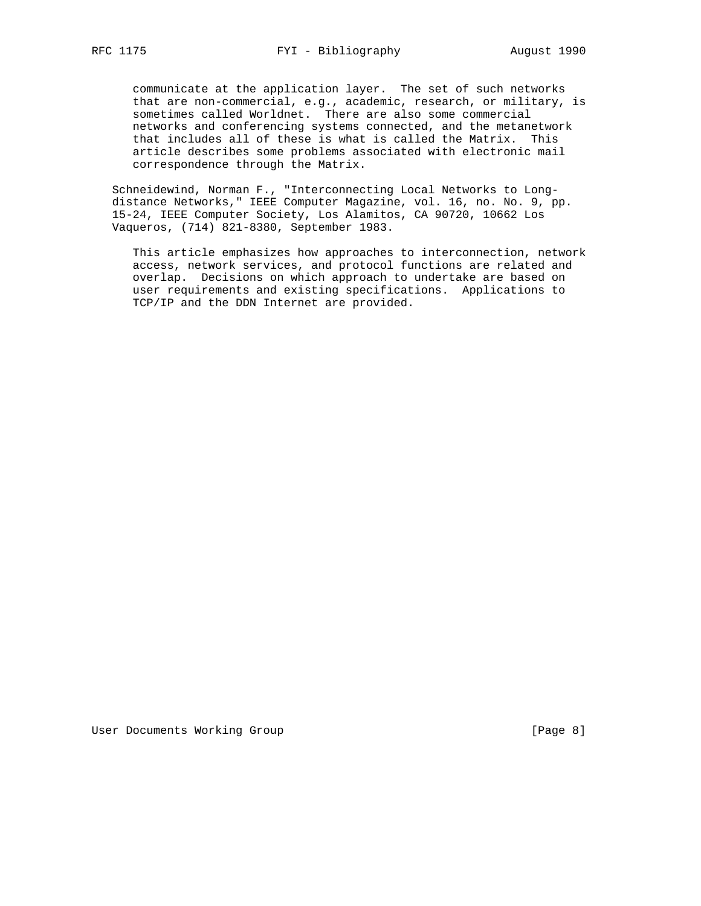communicate at the application layer. The set of such networks that are non-commercial, e.g., academic, research, or military, is sometimes called Worldnet. There are also some commercial networks and conferencing systems connected, and the metanetwork that includes all of these is what is called the Matrix. This article describes some problems associated with electronic mail correspondence through the Matrix.

 Schneidewind, Norman F., "Interconnecting Local Networks to Long distance Networks," IEEE Computer Magazine, vol. 16, no. No. 9, pp. 15-24, IEEE Computer Society, Los Alamitos, CA 90720, 10662 Los Vaqueros, (714) 821-8380, September 1983.

 This article emphasizes how approaches to interconnection, network access, network services, and protocol functions are related and overlap. Decisions on which approach to undertake are based on user requirements and existing specifications. Applications to TCP/IP and the DDN Internet are provided.

User Documents Working Group and the contract of the contract of the contract of the contract of the US of the C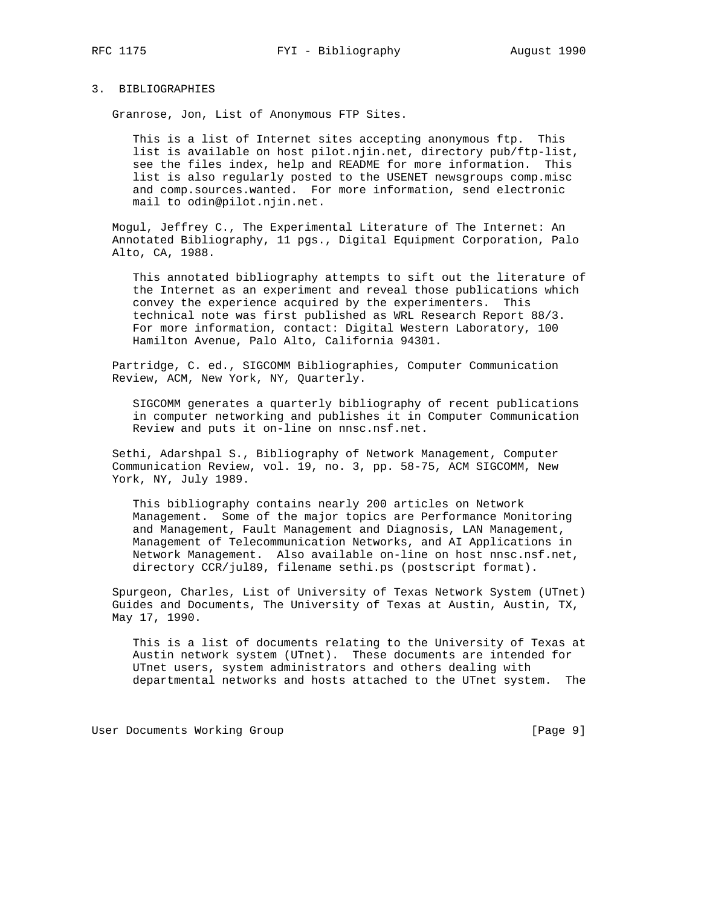### 3. BIBLIOGRAPHIES

Granrose, Jon, List of Anonymous FTP Sites.

 This is a list of Internet sites accepting anonymous ftp. This list is available on host pilot.njin.net, directory pub/ftp-list, see the files index, help and README for more information. This list is also regularly posted to the USENET newsgroups comp.misc and comp.sources.wanted. For more information, send electronic mail to odin@pilot.njin.net.

 Mogul, Jeffrey C., The Experimental Literature of The Internet: An Annotated Bibliography, 11 pgs., Digital Equipment Corporation, Palo Alto, CA, 1988.

 This annotated bibliography attempts to sift out the literature of the Internet as an experiment and reveal those publications which convey the experience acquired by the experimenters. This technical note was first published as WRL Research Report 88/3. For more information, contact: Digital Western Laboratory, 100 Hamilton Avenue, Palo Alto, California 94301.

 Partridge, C. ed., SIGCOMM Bibliographies, Computer Communication Review, ACM, New York, NY, Quarterly.

 SIGCOMM generates a quarterly bibliography of recent publications in computer networking and publishes it in Computer Communication Review and puts it on-line on nnsc.nsf.net.

 Sethi, Adarshpal S., Bibliography of Network Management, Computer Communication Review, vol. 19, no. 3, pp. 58-75, ACM SIGCOMM, New York, NY, July 1989.

 This bibliography contains nearly 200 articles on Network Management. Some of the major topics are Performance Monitoring and Management, Fault Management and Diagnosis, LAN Management, Management of Telecommunication Networks, and AI Applications in Network Management. Also available on-line on host nnsc.nsf.net, directory CCR/jul89, filename sethi.ps (postscript format).

 Spurgeon, Charles, List of University of Texas Network System (UTnet) Guides and Documents, The University of Texas at Austin, Austin, TX, May 17, 1990.

 This is a list of documents relating to the University of Texas at Austin network system (UTnet). These documents are intended for UTnet users, system administrators and others dealing with departmental networks and hosts attached to the UTnet system. The

User Documents Working Group [Page 9]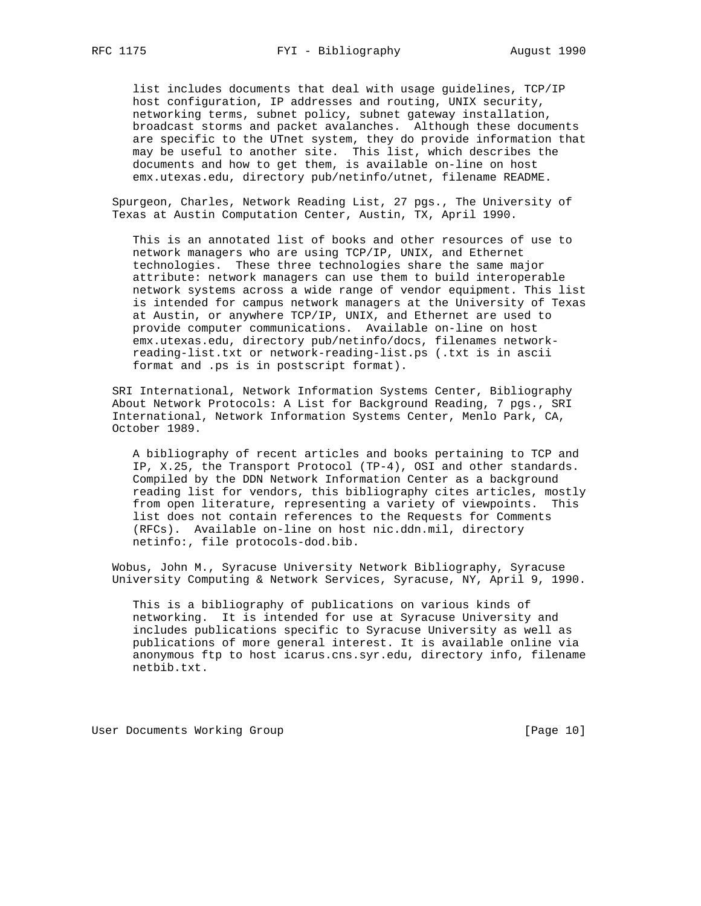list includes documents that deal with usage guidelines, TCP/IP host configuration, IP addresses and routing, UNIX security, networking terms, subnet policy, subnet gateway installation, broadcast storms and packet avalanches. Although these documents are specific to the UTnet system, they do provide information that may be useful to another site. This list, which describes the documents and how to get them, is available on-line on host emx.utexas.edu, directory pub/netinfo/utnet, filename README.

 Spurgeon, Charles, Network Reading List, 27 pgs., The University of Texas at Austin Computation Center, Austin, TX, April 1990.

 This is an annotated list of books and other resources of use to network managers who are using TCP/IP, UNIX, and Ethernet technologies. These three technologies share the same major attribute: network managers can use them to build interoperable network systems across a wide range of vendor equipment. This list is intended for campus network managers at the University of Texas at Austin, or anywhere TCP/IP, UNIX, and Ethernet are used to provide computer communications. Available on-line on host emx.utexas.edu, directory pub/netinfo/docs, filenames network reading-list.txt or network-reading-list.ps (.txt is in ascii format and .ps is in postscript format).

 SRI International, Network Information Systems Center, Bibliography About Network Protocols: A List for Background Reading, 7 pgs., SRI International, Network Information Systems Center, Menlo Park, CA, October 1989.

 A bibliography of recent articles and books pertaining to TCP and IP, X.25, the Transport Protocol (TP-4), OSI and other standards. Compiled by the DDN Network Information Center as a background reading list for vendors, this bibliography cites articles, mostly from open literature, representing a variety of viewpoints. This list does not contain references to the Requests for Comments (RFCs). Available on-line on host nic.ddn.mil, directory netinfo:, file protocols-dod.bib.

 Wobus, John M., Syracuse University Network Bibliography, Syracuse University Computing & Network Services, Syracuse, NY, April 9, 1990.

 This is a bibliography of publications on various kinds of networking. It is intended for use at Syracuse University and includes publications specific to Syracuse University as well as publications of more general interest. It is available online via anonymous ftp to host icarus.cns.syr.edu, directory info, filename netbib.txt.

User Documents Working Group and the contract of the contract of the contract of the contract of the US of the U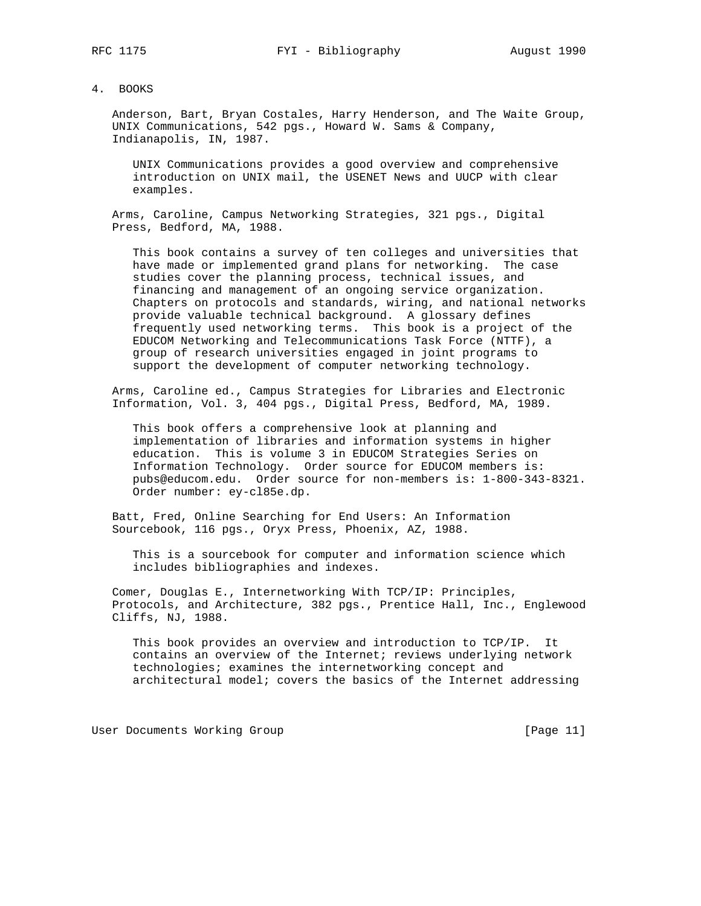#### 4. BOOKS

 Anderson, Bart, Bryan Costales, Harry Henderson, and The Waite Group, UNIX Communications, 542 pgs., Howard W. Sams & Company, Indianapolis, IN, 1987.

 UNIX Communications provides a good overview and comprehensive introduction on UNIX mail, the USENET News and UUCP with clear examples.

 Arms, Caroline, Campus Networking Strategies, 321 pgs., Digital Press, Bedford, MA, 1988.

 This book contains a survey of ten colleges and universities that have made or implemented grand plans for networking. The case studies cover the planning process, technical issues, and financing and management of an ongoing service organization. Chapters on protocols and standards, wiring, and national networks provide valuable technical background. A glossary defines frequently used networking terms. This book is a project of the EDUCOM Networking and Telecommunications Task Force (NTTF), a group of research universities engaged in joint programs to support the development of computer networking technology.

 Arms, Caroline ed., Campus Strategies for Libraries and Electronic Information, Vol. 3, 404 pgs., Digital Press, Bedford, MA, 1989.

 This book offers a comprehensive look at planning and implementation of libraries and information systems in higher education. This is volume 3 in EDUCOM Strategies Series on Information Technology. Order source for EDUCOM members is: pubs@educom.edu. Order source for non-members is: 1-800-343-8321. Order number: ey-cl85e.dp.

 Batt, Fred, Online Searching for End Users: An Information Sourcebook, 116 pgs., Oryx Press, Phoenix, AZ, 1988.

 This is a sourcebook for computer and information science which includes bibliographies and indexes.

 Comer, Douglas E., Internetworking With TCP/IP: Principles, Protocols, and Architecture, 382 pgs., Prentice Hall, Inc., Englewood Cliffs, NJ, 1988.

 This book provides an overview and introduction to TCP/IP. It contains an overview of the Internet; reviews underlying network technologies; examines the internetworking concept and architectural model; covers the basics of the Internet addressing

User Documents Working Group and the contract of the contract of the contract of the contract of the US of the C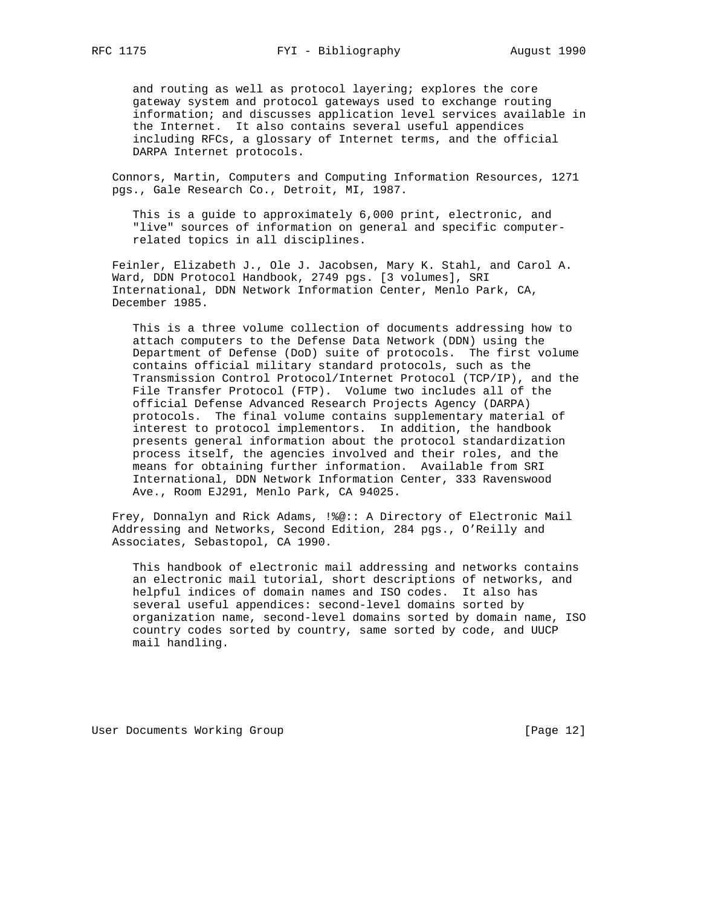and routing as well as protocol layering; explores the core gateway system and protocol gateways used to exchange routing information; and discusses application level services available in the Internet. It also contains several useful appendices including RFCs, a glossary of Internet terms, and the official DARPA Internet protocols.

 Connors, Martin, Computers and Computing Information Resources, 1271 pgs., Gale Research Co., Detroit, MI, 1987.

 This is a guide to approximately 6,000 print, electronic, and "live" sources of information on general and specific computer related topics in all disciplines.

 Feinler, Elizabeth J., Ole J. Jacobsen, Mary K. Stahl, and Carol A. Ward, DDN Protocol Handbook, 2749 pgs. [3 volumes], SRI International, DDN Network Information Center, Menlo Park, CA, December 1985.

 This is a three volume collection of documents addressing how to attach computers to the Defense Data Network (DDN) using the Department of Defense (DoD) suite of protocols. The first volume contains official military standard protocols, such as the Transmission Control Protocol/Internet Protocol (TCP/IP), and the File Transfer Protocol (FTP). Volume two includes all of the official Defense Advanced Research Projects Agency (DARPA) protocols. The final volume contains supplementary material of interest to protocol implementors. In addition, the handbook presents general information about the protocol standardization process itself, the agencies involved and their roles, and the means for obtaining further information. Available from SRI International, DDN Network Information Center, 333 Ravenswood Ave., Room EJ291, Menlo Park, CA 94025.

 Frey, Donnalyn and Rick Adams, !%@:: A Directory of Electronic Mail Addressing and Networks, Second Edition, 284 pgs., O'Reilly and Associates, Sebastopol, CA 1990.

 This handbook of electronic mail addressing and networks contains an electronic mail tutorial, short descriptions of networks, and helpful indices of domain names and ISO codes. It also has several useful appendices: second-level domains sorted by organization name, second-level domains sorted by domain name, ISO country codes sorted by country, same sorted by code, and UUCP mail handling.

User Documents Working Group [Page 12]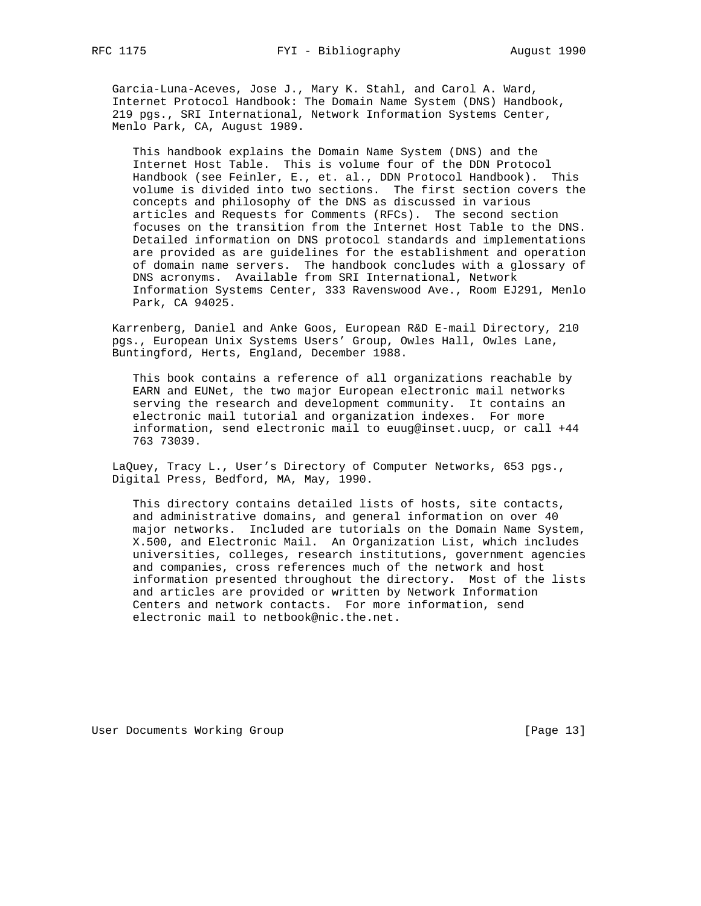Garcia-Luna-Aceves, Jose J., Mary K. Stahl, and Carol A. Ward, Internet Protocol Handbook: The Domain Name System (DNS) Handbook, 219 pgs., SRI International, Network Information Systems Center, Menlo Park, CA, August 1989.

 This handbook explains the Domain Name System (DNS) and the Internet Host Table. This is volume four of the DDN Protocol Handbook (see Feinler, E., et. al., DDN Protocol Handbook). This volume is divided into two sections. The first section covers the concepts and philosophy of the DNS as discussed in various articles and Requests for Comments (RFCs). The second section focuses on the transition from the Internet Host Table to the DNS. Detailed information on DNS protocol standards and implementations are provided as are guidelines for the establishment and operation of domain name servers. The handbook concludes with a glossary of DNS acronyms. Available from SRI International, Network Information Systems Center, 333 Ravenswood Ave., Room EJ291, Menlo Park, CA 94025.

 Karrenberg, Daniel and Anke Goos, European R&D E-mail Directory, 210 pgs., European Unix Systems Users' Group, Owles Hall, Owles Lane, Buntingford, Herts, England, December 1988.

 This book contains a reference of all organizations reachable by EARN and EUNet, the two major European electronic mail networks serving the research and development community. It contains an electronic mail tutorial and organization indexes. For more information, send electronic mail to euug@inset.uucp, or call +44 763 73039.

 LaQuey, Tracy L., User's Directory of Computer Networks, 653 pgs., Digital Press, Bedford, MA, May, 1990.

 This directory contains detailed lists of hosts, site contacts, and administrative domains, and general information on over 40 major networks. Included are tutorials on the Domain Name System, X.500, and Electronic Mail. An Organization List, which includes universities, colleges, research institutions, government agencies and companies, cross references much of the network and host information presented throughout the directory. Most of the lists and articles are provided or written by Network Information Centers and network contacts. For more information, send electronic mail to netbook@nic.the.net.

User Documents Working Group and the contract of the contract of the contract of the contract of the US of the U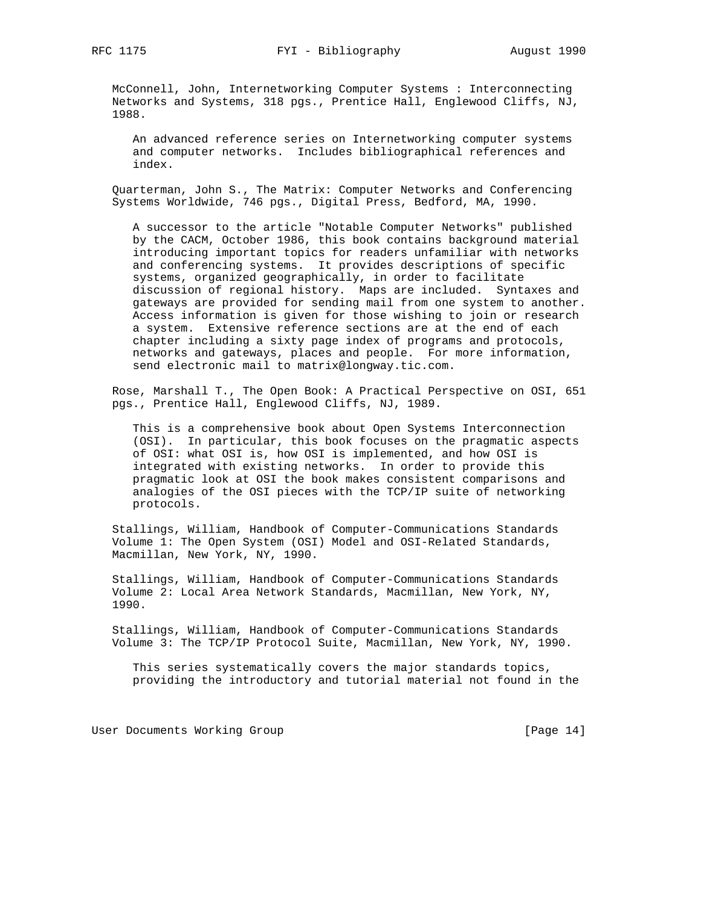McConnell, John, Internetworking Computer Systems : Interconnecting Networks and Systems, 318 pgs., Prentice Hall, Englewood Cliffs, NJ, 1988.

 An advanced reference series on Internetworking computer systems and computer networks. Includes bibliographical references and index.

 Quarterman, John S., The Matrix: Computer Networks and Conferencing Systems Worldwide, 746 pgs., Digital Press, Bedford, MA, 1990.

 A successor to the article "Notable Computer Networks" published by the CACM, October 1986, this book contains background material introducing important topics for readers unfamiliar with networks and conferencing systems. It provides descriptions of specific systems, organized geographically, in order to facilitate discussion of regional history. Maps are included. Syntaxes and gateways are provided for sending mail from one system to another. Access information is given for those wishing to join or research a system. Extensive reference sections are at the end of each chapter including a sixty page index of programs and protocols, networks and gateways, places and people. For more information, send electronic mail to matrix@longway.tic.com.

 Rose, Marshall T., The Open Book: A Practical Perspective on OSI, 651 pgs., Prentice Hall, Englewood Cliffs, NJ, 1989.

 This is a comprehensive book about Open Systems Interconnection (OSI). In particular, this book focuses on the pragmatic aspects of OSI: what OSI is, how OSI is implemented, and how OSI is integrated with existing networks. In order to provide this pragmatic look at OSI the book makes consistent comparisons and analogies of the OSI pieces with the TCP/IP suite of networking protocols.

 Stallings, William, Handbook of Computer-Communications Standards Volume 1: The Open System (OSI) Model and OSI-Related Standards, Macmillan, New York, NY, 1990.

 Stallings, William, Handbook of Computer-Communications Standards Volume 2: Local Area Network Standards, Macmillan, New York, NY, 1990.

 Stallings, William, Handbook of Computer-Communications Standards Volume 3: The TCP/IP Protocol Suite, Macmillan, New York, NY, 1990.

 This series systematically covers the major standards topics, providing the introductory and tutorial material not found in the

User Documents Working Group and the contract of the User of Page 14]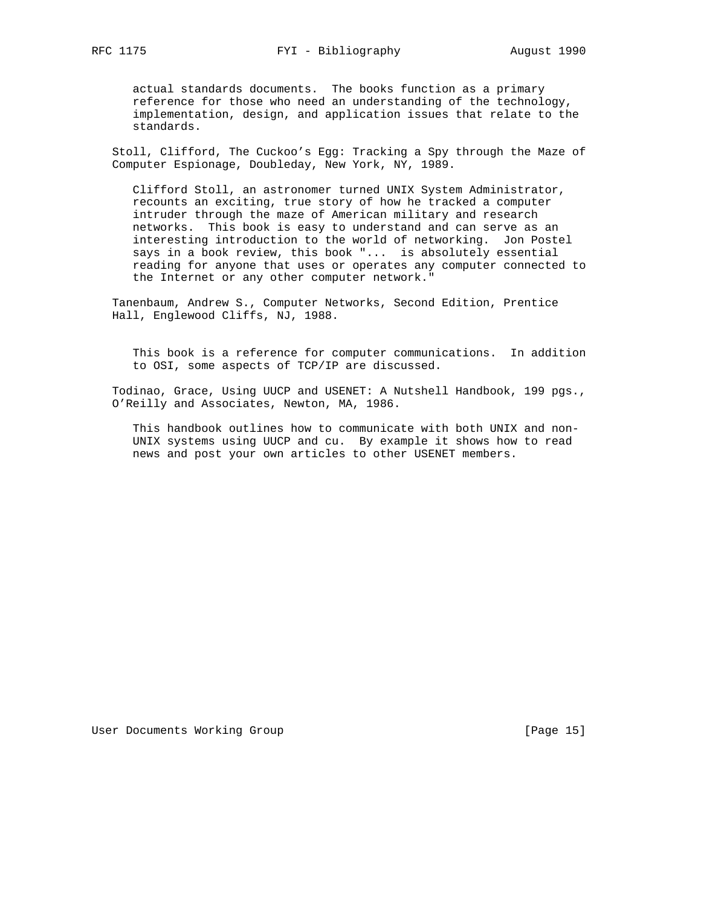actual standards documents. The books function as a primary reference for those who need an understanding of the technology, implementation, design, and application issues that relate to the standards.

 Stoll, Clifford, The Cuckoo's Egg: Tracking a Spy through the Maze of Computer Espionage, Doubleday, New York, NY, 1989.

 Clifford Stoll, an astronomer turned UNIX System Administrator, recounts an exciting, true story of how he tracked a computer intruder through the maze of American military and research networks. This book is easy to understand and can serve as an interesting introduction to the world of networking. Jon Postel says in a book review, this book "... is absolutely essential reading for anyone that uses or operates any computer connected to the Internet or any other computer network."

 Tanenbaum, Andrew S., Computer Networks, Second Edition, Prentice Hall, Englewood Cliffs, NJ, 1988.

 This book is a reference for computer communications. In addition to OSI, some aspects of TCP/IP are discussed.

 Todinao, Grace, Using UUCP and USENET: A Nutshell Handbook, 199 pgs., O'Reilly and Associates, Newton, MA, 1986.

 This handbook outlines how to communicate with both UNIX and non- UNIX systems using UUCP and cu. By example it shows how to read news and post your own articles to other USENET members.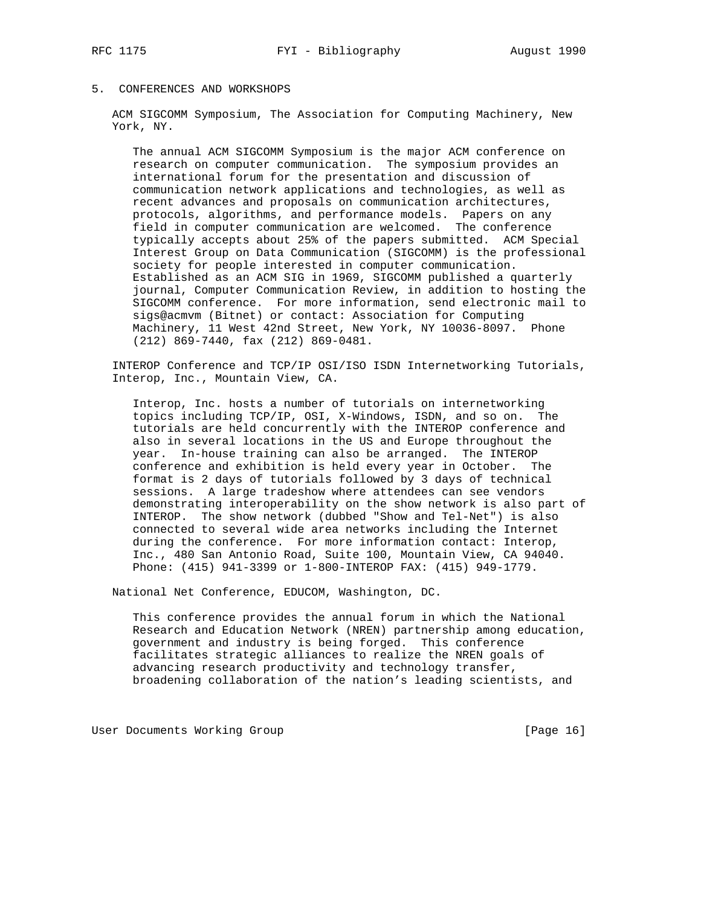## 5. CONFERENCES AND WORKSHOPS

 ACM SIGCOMM Symposium, The Association for Computing Machinery, New York, NY.

 The annual ACM SIGCOMM Symposium is the major ACM conference on research on computer communication. The symposium provides an international forum for the presentation and discussion of communication network applications and technologies, as well as recent advances and proposals on communication architectures, protocols, algorithms, and performance models. Papers on any field in computer communication are welcomed. The conference typically accepts about 25% of the papers submitted. ACM Special Interest Group on Data Communication (SIGCOMM) is the professional society for people interested in computer communication. Established as an ACM SIG in 1969, SIGCOMM published a quarterly journal, Computer Communication Review, in addition to hosting the SIGCOMM conference. For more information, send electronic mail to sigs@acmvm (Bitnet) or contact: Association for Computing Machinery, 11 West 42nd Street, New York, NY 10036-8097. Phone (212) 869-7440, fax (212) 869-0481.

 INTEROP Conference and TCP/IP OSI/ISO ISDN Internetworking Tutorials, Interop, Inc., Mountain View, CA.

 Interop, Inc. hosts a number of tutorials on internetworking topics including TCP/IP, OSI, X-Windows, ISDN, and so on. The tutorials are held concurrently with the INTEROP conference and also in several locations in the US and Europe throughout the year. In-house training can also be arranged. The INTEROP conference and exhibition is held every year in October. The format is 2 days of tutorials followed by 3 days of technical sessions. A large tradeshow where attendees can see vendors demonstrating interoperability on the show network is also part of INTEROP. The show network (dubbed "Show and Tel-Net") is also connected to several wide area networks including the Internet during the conference. For more information contact: Interop, Inc., 480 San Antonio Road, Suite 100, Mountain View, CA 94040. Phone: (415) 941-3399 or 1-800-INTEROP FAX: (415) 949-1779.

National Net Conference, EDUCOM, Washington, DC.

 This conference provides the annual forum in which the National Research and Education Network (NREN) partnership among education, government and industry is being forged. This conference facilitates strategic alliances to realize the NREN goals of advancing research productivity and technology transfer, broadening collaboration of the nation's leading scientists, and

User Documents Working Group **[Page 16]** [Page 16]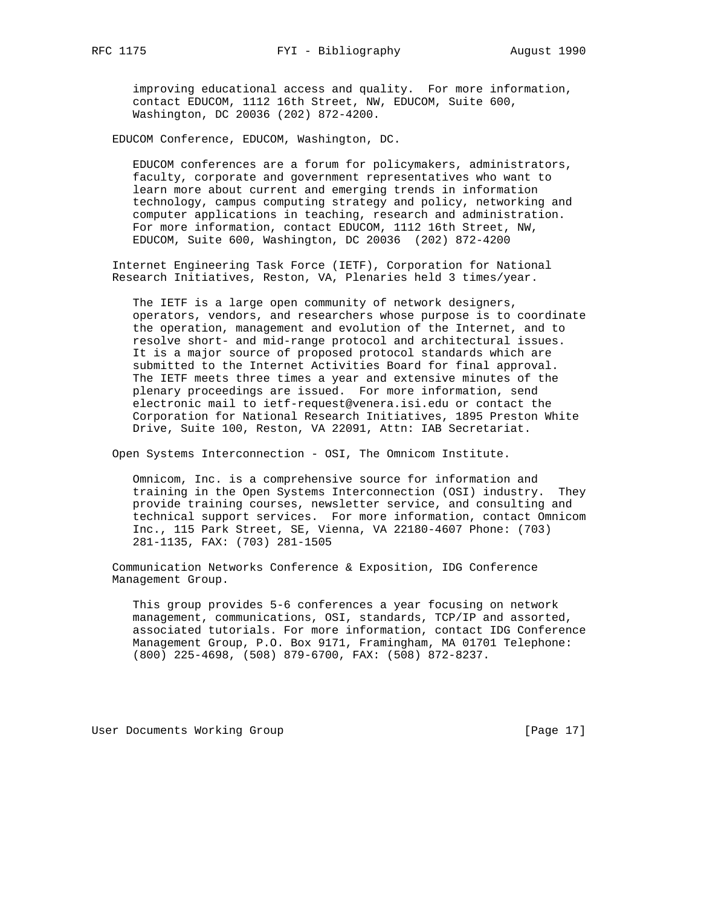improving educational access and quality. For more information, contact EDUCOM, 1112 16th Street, NW, EDUCOM, Suite 600, Washington, DC 20036 (202) 872-4200.

EDUCOM Conference, EDUCOM, Washington, DC.

 EDUCOM conferences are a forum for policymakers, administrators, faculty, corporate and government representatives who want to learn more about current and emerging trends in information technology, campus computing strategy and policy, networking and computer applications in teaching, research and administration. For more information, contact EDUCOM, 1112 16th Street, NW, EDUCOM, Suite 600, Washington, DC 20036 (202) 872-4200

 Internet Engineering Task Force (IETF), Corporation for National Research Initiatives, Reston, VA, Plenaries held 3 times/year.

 The IETF is a large open community of network designers, operators, vendors, and researchers whose purpose is to coordinate the operation, management and evolution of the Internet, and to resolve short- and mid-range protocol and architectural issues. It is a major source of proposed protocol standards which are submitted to the Internet Activities Board for final approval. The IETF meets three times a year and extensive minutes of the plenary proceedings are issued. For more information, send electronic mail to ietf-request@venera.isi.edu or contact the Corporation for National Research Initiatives, 1895 Preston White Drive, Suite 100, Reston, VA 22091, Attn: IAB Secretariat.

Open Systems Interconnection - OSI, The Omnicom Institute.

 Omnicom, Inc. is a comprehensive source for information and training in the Open Systems Interconnection (OSI) industry. They provide training courses, newsletter service, and consulting and technical support services. For more information, contact Omnicom Inc., 115 Park Street, SE, Vienna, VA 22180-4607 Phone: (703) 281-1135, FAX: (703) 281-1505

 Communication Networks Conference & Exposition, IDG Conference Management Group.

 This group provides 5-6 conferences a year focusing on network management, communications, OSI, standards, TCP/IP and assorted, associated tutorials. For more information, contact IDG Conference Management Group, P.O. Box 9171, Framingham, MA 01701 Telephone: (800) 225-4698, (508) 879-6700, FAX: (508) 872-8237.

User Documents Working Group and the contract of the contract of the contract of the contract of the US of the U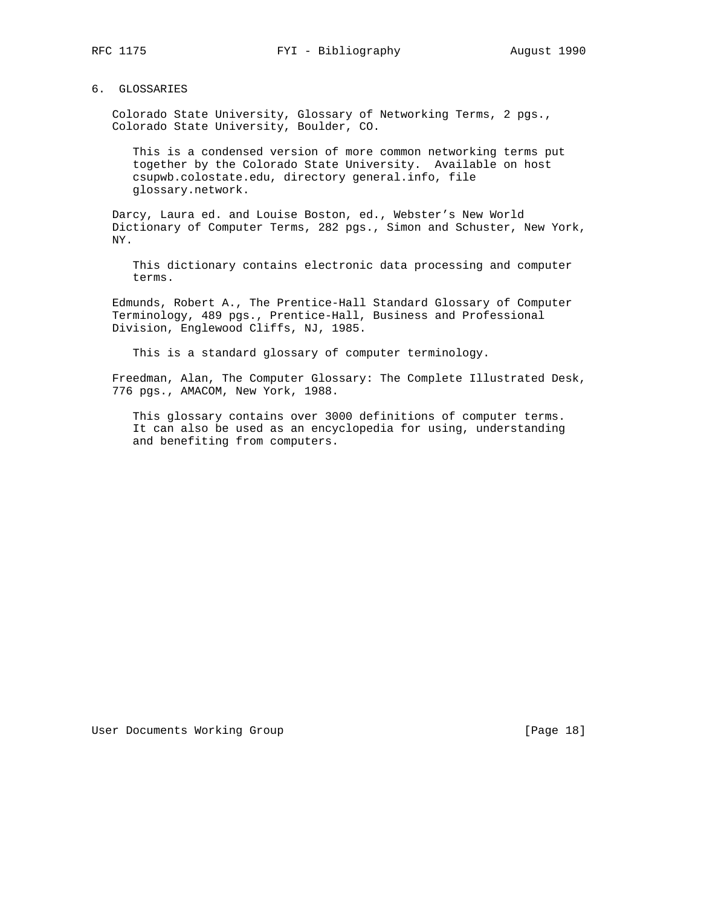### 6. GLOSSARIES

 Colorado State University, Glossary of Networking Terms, 2 pgs., Colorado State University, Boulder, CO.

 This is a condensed version of more common networking terms put together by the Colorado State University. Available on host csupwb.colostate.edu, directory general.info, file glossary.network.

 Darcy, Laura ed. and Louise Boston, ed., Webster's New World Dictionary of Computer Terms, 282 pgs., Simon and Schuster, New York, NY.

 This dictionary contains electronic data processing and computer terms.

 Edmunds, Robert A., The Prentice-Hall Standard Glossary of Computer Terminology, 489 pgs., Prentice-Hall, Business and Professional Division, Englewood Cliffs, NJ, 1985.

This is a standard glossary of computer terminology.

 Freedman, Alan, The Computer Glossary: The Complete Illustrated Desk, 776 pgs., AMACOM, New York, 1988.

 This glossary contains over 3000 definitions of computer terms. It can also be used as an encyclopedia for using, understanding and benefiting from computers.

User Documents Working Group **[Page 18]** [Page 18]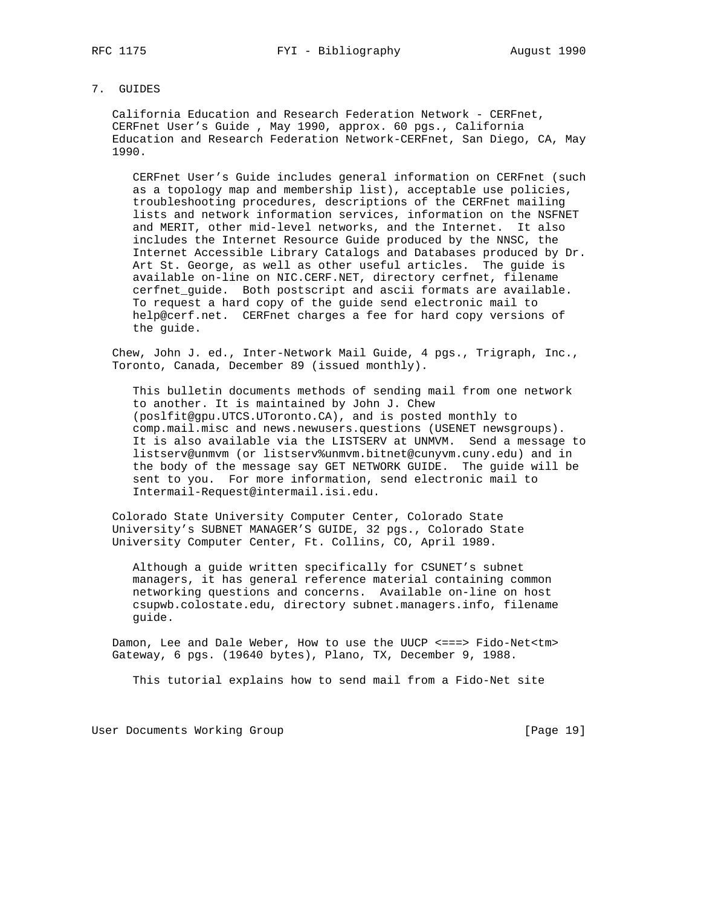### 7. GUIDES

 California Education and Research Federation Network - CERFnet, CERFnet User's Guide , May 1990, approx. 60 pgs., California Education and Research Federation Network-CERFnet, San Diego, CA, May 1990.

 CERFnet User's Guide includes general information on CERFnet (such as a topology map and membership list), acceptable use policies, troubleshooting procedures, descriptions of the CERFnet mailing lists and network information services, information on the NSFNET and MERIT, other mid-level networks, and the Internet. It also includes the Internet Resource Guide produced by the NNSC, the Internet Accessible Library Catalogs and Databases produced by Dr. Art St. George, as well as other useful articles. The guide is available on-line on NIC.CERF.NET, directory cerfnet, filename cerfnet\_guide. Both postscript and ascii formats are available. To request a hard copy of the guide send electronic mail to help@cerf.net. CERFnet charges a fee for hard copy versions of the guide.

 Chew, John J. ed., Inter-Network Mail Guide, 4 pgs., Trigraph, Inc., Toronto, Canada, December 89 (issued monthly).

 This bulletin documents methods of sending mail from one network to another. It is maintained by John J. Chew (poslfit@gpu.UTCS.UToronto.CA), and is posted monthly to comp.mail.misc and news.newusers.questions (USENET newsgroups). It is also available via the LISTSERV at UNMVM. Send a message to listserv@unmvm (or listserv%unmvm.bitnet@cunyvm.cuny.edu) and in the body of the message say GET NETWORK GUIDE. The guide will be sent to you. For more information, send electronic mail to Intermail-Request@intermail.isi.edu.

 Colorado State University Computer Center, Colorado State University's SUBNET MANAGER'S GUIDE, 32 pgs., Colorado State University Computer Center, Ft. Collins, CO, April 1989.

 Although a guide written specifically for CSUNET's subnet managers, it has general reference material containing common networking questions and concerns. Available on-line on host csupwb.colostate.edu, directory subnet.managers.info, filename guide.

 Damon, Lee and Dale Weber, How to use the UUCP <===> Fido-Net<tm> Gateway, 6 pgs. (19640 bytes), Plano, TX, December 9, 1988.

This tutorial explains how to send mail from a Fido-Net site

User Documents Working Group [Page 19]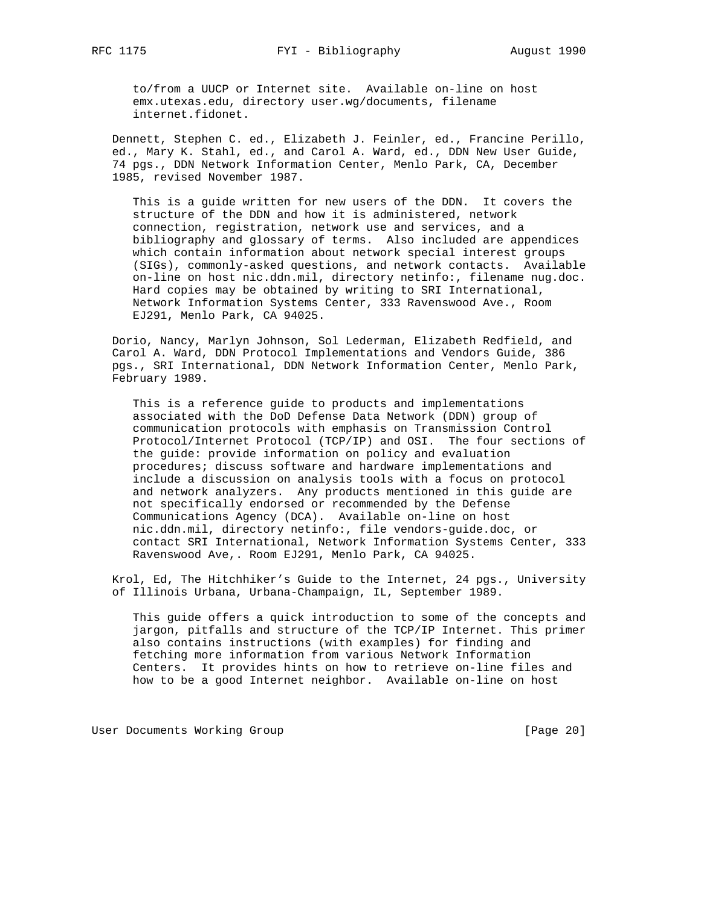to/from a UUCP or Internet site. Available on-line on host emx.utexas.edu, directory user.wg/documents, filename internet.fidonet.

 Dennett, Stephen C. ed., Elizabeth J. Feinler, ed., Francine Perillo, ed., Mary K. Stahl, ed., and Carol A. Ward, ed., DDN New User Guide, 74 pgs., DDN Network Information Center, Menlo Park, CA, December 1985, revised November 1987.

 This is a guide written for new users of the DDN. It covers the structure of the DDN and how it is administered, network connection, registration, network use and services, and a bibliography and glossary of terms. Also included are appendices which contain information about network special interest groups (SIGs), commonly-asked questions, and network contacts. Available on-line on host nic.ddn.mil, directory netinfo:, filename nug.doc. Hard copies may be obtained by writing to SRI International, Network Information Systems Center, 333 Ravenswood Ave., Room EJ291, Menlo Park, CA 94025.

 Dorio, Nancy, Marlyn Johnson, Sol Lederman, Elizabeth Redfield, and Carol A. Ward, DDN Protocol Implementations and Vendors Guide, 386 pgs., SRI International, DDN Network Information Center, Menlo Park, February 1989.

 This is a reference guide to products and implementations associated with the DoD Defense Data Network (DDN) group of communication protocols with emphasis on Transmission Control Protocol/Internet Protocol (TCP/IP) and OSI. The four sections of the guide: provide information on policy and evaluation procedures; discuss software and hardware implementations and include a discussion on analysis tools with a focus on protocol and network analyzers. Any products mentioned in this guide are not specifically endorsed or recommended by the Defense Communications Agency (DCA). Available on-line on host nic.ddn.mil, directory netinfo:, file vendors-guide.doc, or contact SRI International, Network Information Systems Center, 333 Ravenswood Ave,. Room EJ291, Menlo Park, CA 94025.

 Krol, Ed, The Hitchhiker's Guide to the Internet, 24 pgs., University of Illinois Urbana, Urbana-Champaign, IL, September 1989.

 This guide offers a quick introduction to some of the concepts and jargon, pitfalls and structure of the TCP/IP Internet. This primer also contains instructions (with examples) for finding and fetching more information from various Network Information Centers. It provides hints on how to retrieve on-line files and how to be a good Internet neighbor. Available on-line on host

User Documents Working Group **by the Community Community** [Page 20]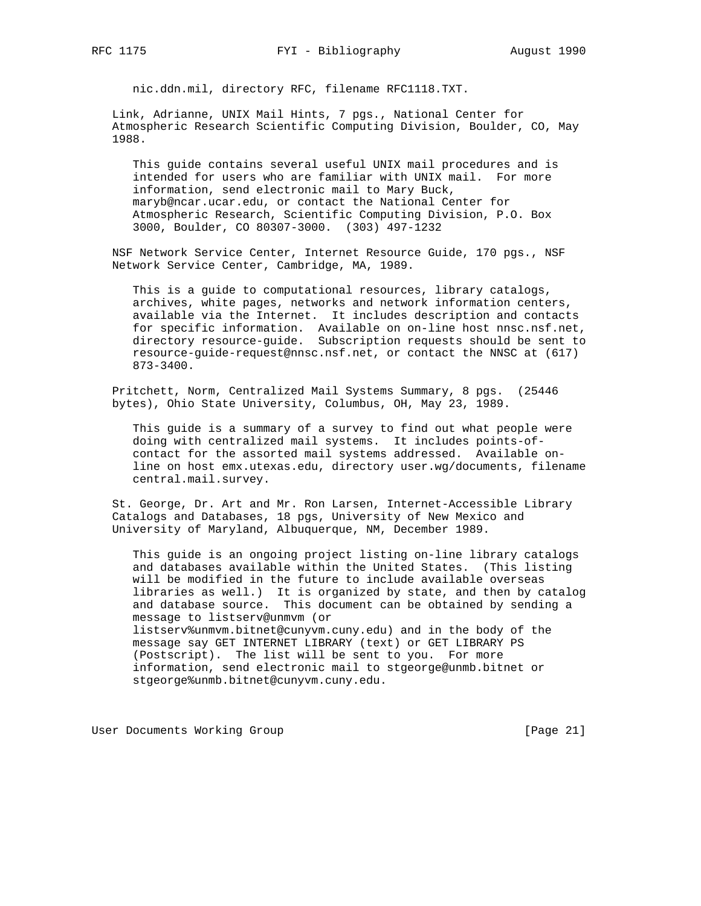nic.ddn.mil, directory RFC, filename RFC1118.TXT.

 Link, Adrianne, UNIX Mail Hints, 7 pgs., National Center for Atmospheric Research Scientific Computing Division, Boulder, CO, May 1988.

 This guide contains several useful UNIX mail procedures and is intended for users who are familiar with UNIX mail. For more information, send electronic mail to Mary Buck, maryb@ncar.ucar.edu, or contact the National Center for Atmospheric Research, Scientific Computing Division, P.O. Box 3000, Boulder, CO 80307-3000. (303) 497-1232

 NSF Network Service Center, Internet Resource Guide, 170 pgs., NSF Network Service Center, Cambridge, MA, 1989.

 This is a guide to computational resources, library catalogs, archives, white pages, networks and network information centers, available via the Internet. It includes description and contacts for specific information. Available on on-line host nnsc.nsf.net, directory resource-guide. Subscription requests should be sent to resource-guide-request@nnsc.nsf.net, or contact the NNSC at (617) 873-3400.

 Pritchett, Norm, Centralized Mail Systems Summary, 8 pgs. (25446 bytes), Ohio State University, Columbus, OH, May 23, 1989.

 This guide is a summary of a survey to find out what people were doing with centralized mail systems. It includes points-of contact for the assorted mail systems addressed. Available on line on host emx.utexas.edu, directory user.wg/documents, filename central.mail.survey.

 St. George, Dr. Art and Mr. Ron Larsen, Internet-Accessible Library Catalogs and Databases, 18 pgs, University of New Mexico and University of Maryland, Albuquerque, NM, December 1989.

 This guide is an ongoing project listing on-line library catalogs and databases available within the United States. (This listing will be modified in the future to include available overseas libraries as well.) It is organized by state, and then by catalog and database source. This document can be obtained by sending a message to listserv@unmvm (or listserv%unmvm.bitnet@cunyvm.cuny.edu) and in the body of the message say GET INTERNET LIBRARY (text) or GET LIBRARY PS (Postscript). The list will be sent to you. For more information, send electronic mail to stgeorge@unmb.bitnet or stgeorge%unmb.bitnet@cunyvm.cuny.edu.

User Documents Working Group and the contract of the contract of the contract of the contract of the US of the C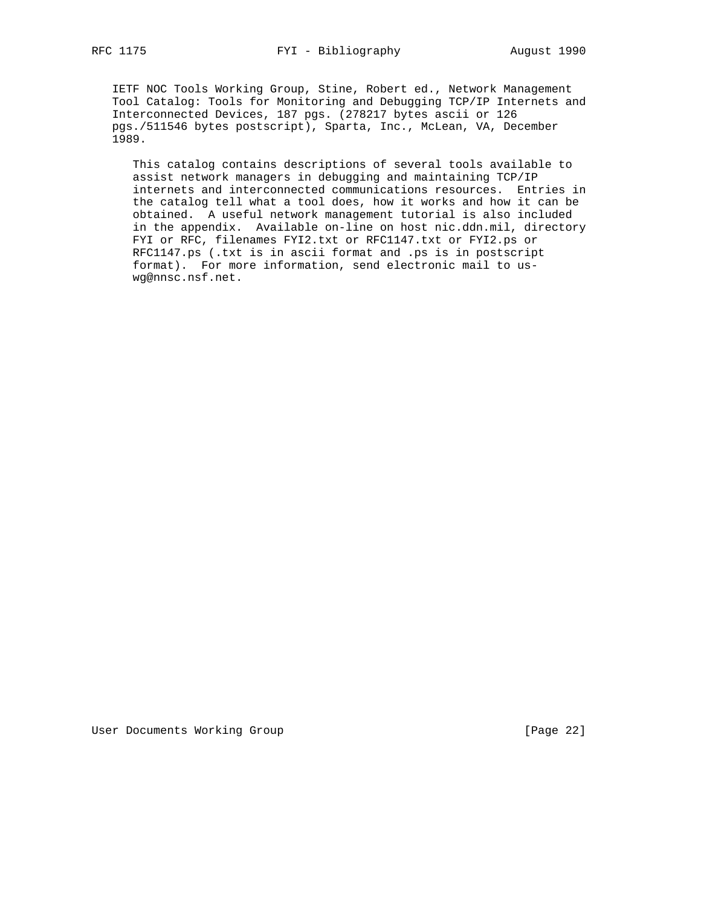IETF NOC Tools Working Group, Stine, Robert ed., Network Management Tool Catalog: Tools for Monitoring and Debugging TCP/IP Internets and Interconnected Devices, 187 pgs. (278217 bytes ascii or 126 pgs./511546 bytes postscript), Sparta, Inc., McLean, VA, December 1989.

 This catalog contains descriptions of several tools available to assist network managers in debugging and maintaining TCP/IP internets and interconnected communications resources. Entries in the catalog tell what a tool does, how it works and how it can be obtained. A useful network management tutorial is also included in the appendix. Available on-line on host nic.ddn.mil, directory FYI or RFC, filenames FYI2.txt or RFC1147.txt or FYI2.ps or RFC1147.ps (.txt is in ascii format and .ps is in postscript format). For more information, send electronic mail to us wg@nnsc.nsf.net.

User Documents Working Group **[Page 22]**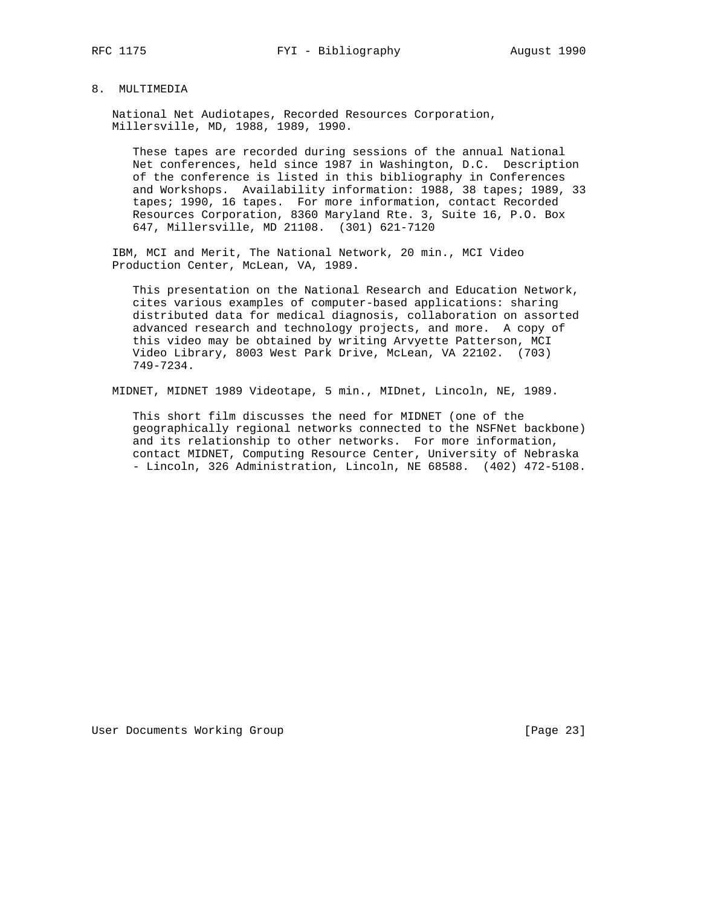### 8. MULTIMEDIA

 National Net Audiotapes, Recorded Resources Corporation, Millersville, MD, 1988, 1989, 1990.

 These tapes are recorded during sessions of the annual National Net conferences, held since 1987 in Washington, D.C. Description of the conference is listed in this bibliography in Conferences and Workshops. Availability information: 1988, 38 tapes; 1989, 33 tapes; 1990, 16 tapes. For more information, contact Recorded Resources Corporation, 8360 Maryland Rte. 3, Suite 16, P.O. Box 647, Millersville, MD 21108. (301) 621-7120

 IBM, MCI and Merit, The National Network, 20 min., MCI Video Production Center, McLean, VA, 1989.

 This presentation on the National Research and Education Network, cites various examples of computer-based applications: sharing distributed data for medical diagnosis, collaboration on assorted advanced research and technology projects, and more. A copy of this video may be obtained by writing Arvyette Patterson, MCI Video Library, 8003 West Park Drive, McLean, VA 22102. (703) 749-7234.

MIDNET, MIDNET 1989 Videotape, 5 min., MIDnet, Lincoln, NE, 1989.

 This short film discusses the need for MIDNET (one of the geographically regional networks connected to the NSFNet backbone) and its relationship to other networks. For more information, contact MIDNET, Computing Resource Center, University of Nebraska - Lincoln, 326 Administration, Lincoln, NE 68588. (402) 472-5108.

User Documents Working Group **[Page 23]**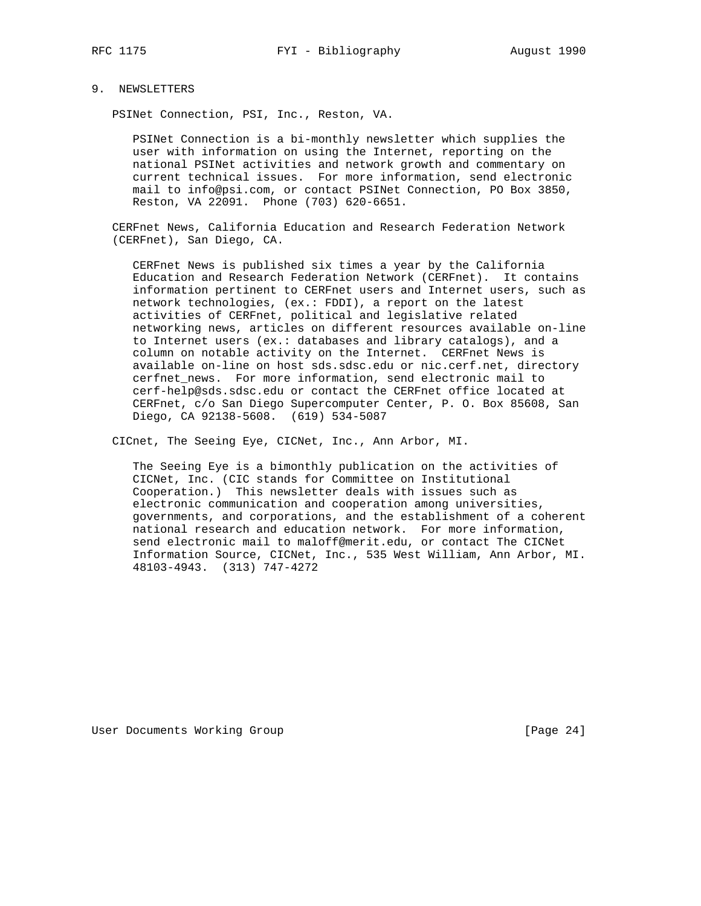### 9. NEWSLETTERS

PSINet Connection, PSI, Inc., Reston, VA.

 PSINet Connection is a bi-monthly newsletter which supplies the user with information on using the Internet, reporting on the national PSINet activities and network growth and commentary on current technical issues. For more information, send electronic mail to info@psi.com, or contact PSINet Connection, PO Box 3850, Reston, VA 22091. Phone (703) 620-6651.

 CERFnet News, California Education and Research Federation Network (CERFnet), San Diego, CA.

 CERFnet News is published six times a year by the California Education and Research Federation Network (CERFnet). It contains information pertinent to CERFnet users and Internet users, such as network technologies, (ex.: FDDI), a report on the latest activities of CERFnet, political and legislative related networking news, articles on different resources available on-line to Internet users (ex.: databases and library catalogs), and a column on notable activity on the Internet. CERFnet News is available on-line on host sds.sdsc.edu or nic.cerf.net, directory cerfnet\_news. For more information, send electronic mail to cerf-help@sds.sdsc.edu or contact the CERFnet office located at CERFnet, c/o San Diego Supercomputer Center, P. O. Box 85608, San Diego, CA 92138-5608. (619) 534-5087

CICnet, The Seeing Eye, CICNet, Inc., Ann Arbor, MI.

 The Seeing Eye is a bimonthly publication on the activities of CICNet, Inc. (CIC stands for Committee on Institutional Cooperation.) This newsletter deals with issues such as electronic communication and cooperation among universities, governments, and corporations, and the establishment of a coherent national research and education network. For more information, send electronic mail to maloff@merit.edu, or contact The CICNet Information Source, CICNet, Inc., 535 West William, Ann Arbor, MI. 48103-4943. (313) 747-4272

User Documents Working Group **by the Community Community** [Page 24]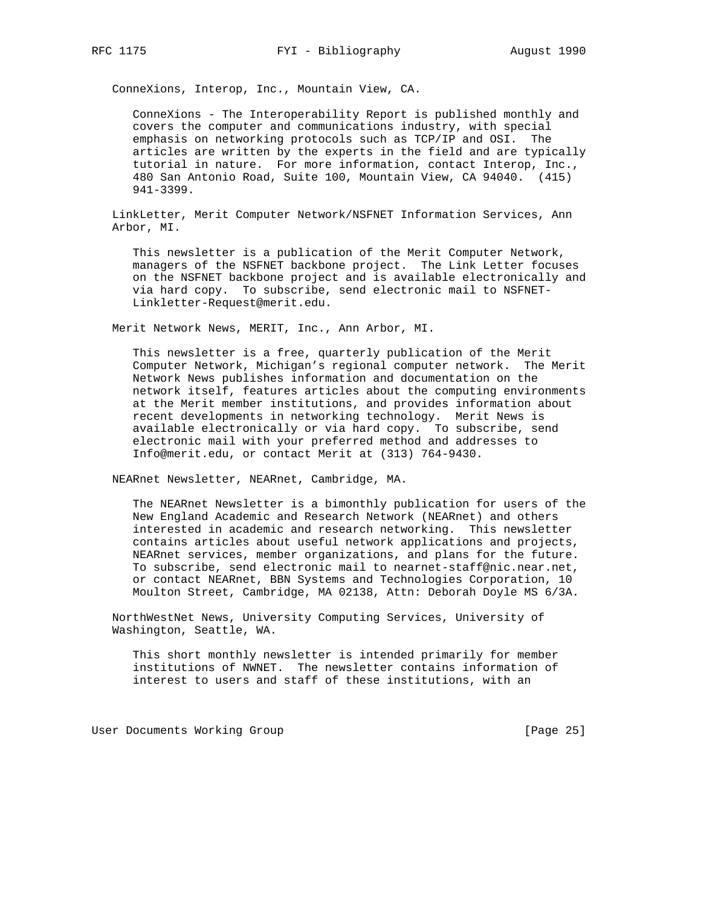ConneXions, Interop, Inc., Mountain View, CA.

 ConneXions - The Interoperability Report is published monthly and covers the computer and communications industry, with special emphasis on networking protocols such as TCP/IP and OSI. The articles are written by the experts in the field and are typically tutorial in nature. For more information, contact Interop, Inc., 480 San Antonio Road, Suite 100, Mountain View, CA 94040. (415) 941-3399.

 LinkLetter, Merit Computer Network/NSFNET Information Services, Ann Arbor, MI.

 This newsletter is a publication of the Merit Computer Network, managers of the NSFNET backbone project. The Link Letter focuses on the NSFNET backbone project and is available electronically and via hard copy. To subscribe, send electronic mail to NSFNET- Linkletter-Request@merit.edu.

Merit Network News, MERIT, Inc., Ann Arbor, MI.

 This newsletter is a free, quarterly publication of the Merit Computer Network, Michigan's regional computer network. The Merit Network News publishes information and documentation on the network itself, features articles about the computing environments at the Merit member institutions, and provides information about recent developments in networking technology. Merit News is available electronically or via hard copy. To subscribe, send electronic mail with your preferred method and addresses to Info@merit.edu, or contact Merit at (313) 764-9430.

NEARnet Newsletter, NEARnet, Cambridge, MA.

 The NEARnet Newsletter is a bimonthly publication for users of the New England Academic and Research Network (NEARnet) and others interested in academic and research networking. This newsletter contains articles about useful network applications and projects, NEARnet services, member organizations, and plans for the future. To subscribe, send electronic mail to nearnet-staff@nic.near.net, or contact NEARnet, BBN Systems and Technologies Corporation, 10 Moulton Street, Cambridge, MA 02138, Attn: Deborah Doyle MS 6/3A.

 NorthWestNet News, University Computing Services, University of Washington, Seattle, WA.

 This short monthly newsletter is intended primarily for member institutions of NWNET. The newsletter contains information of interest to users and staff of these institutions, with an

User Documents Working Group **[Page 25]**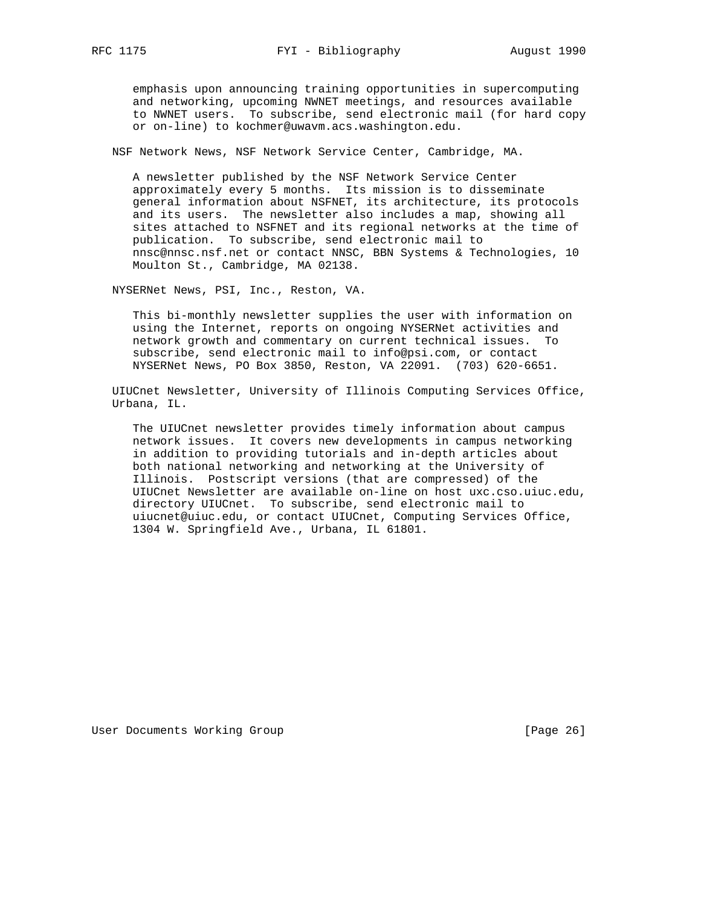emphasis upon announcing training opportunities in supercomputing and networking, upcoming NWNET meetings, and resources available to NWNET users. To subscribe, send electronic mail (for hard copy or on-line) to kochmer@uwavm.acs.washington.edu.

NSF Network News, NSF Network Service Center, Cambridge, MA.

 A newsletter published by the NSF Network Service Center approximately every 5 months. Its mission is to disseminate general information about NSFNET, its architecture, its protocols and its users. The newsletter also includes a map, showing all sites attached to NSFNET and its regional networks at the time of publication. To subscribe, send electronic mail to nnsc@nnsc.nsf.net or contact NNSC, BBN Systems & Technologies, 10 Moulton St., Cambridge, MA 02138.

NYSERNet News, PSI, Inc., Reston, VA.

 This bi-monthly newsletter supplies the user with information on using the Internet, reports on ongoing NYSERNet activities and network growth and commentary on current technical issues. To subscribe, send electronic mail to info@psi.com, or contact NYSERNet News, PO Box 3850, Reston, VA 22091. (703) 620-6651.

 UIUCnet Newsletter, University of Illinois Computing Services Office, Urbana, IL.

 The UIUCnet newsletter provides timely information about campus network issues. It covers new developments in campus networking in addition to providing tutorials and in-depth articles about both national networking and networking at the University of Illinois. Postscript versions (that are compressed) of the UIUCnet Newsletter are available on-line on host uxc.cso.uiuc.edu, directory UIUCnet. To subscribe, send electronic mail to uiucnet@uiuc.edu, or contact UIUCnet, Computing Services Office, 1304 W. Springfield Ave., Urbana, IL 61801.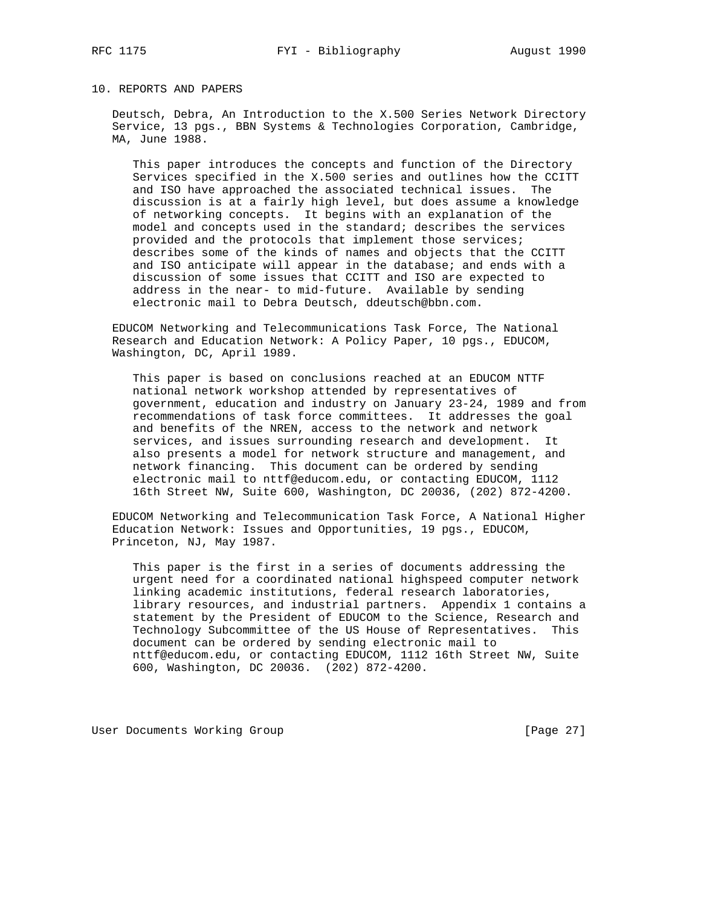# 10. REPORTS AND PAPERS

 Deutsch, Debra, An Introduction to the X.500 Series Network Directory Service, 13 pgs., BBN Systems & Technologies Corporation, Cambridge, MA, June 1988.

 This paper introduces the concepts and function of the Directory Services specified in the X.500 series and outlines how the CCITT and ISO have approached the associated technical issues. The discussion is at a fairly high level, but does assume a knowledge of networking concepts. It begins with an explanation of the model and concepts used in the standard; describes the services provided and the protocols that implement those services; describes some of the kinds of names and objects that the CCITT and ISO anticipate will appear in the database; and ends with a discussion of some issues that CCITT and ISO are expected to address in the near- to mid-future. Available by sending electronic mail to Debra Deutsch, ddeutsch@bbn.com.

 EDUCOM Networking and Telecommunications Task Force, The National Research and Education Network: A Policy Paper, 10 pgs., EDUCOM, Washington, DC, April 1989.

 This paper is based on conclusions reached at an EDUCOM NTTF national network workshop attended by representatives of government, education and industry on January 23-24, 1989 and from recommendations of task force committees. It addresses the goal and benefits of the NREN, access to the network and network services, and issues surrounding research and development. It also presents a model for network structure and management, and network financing. This document can be ordered by sending electronic mail to nttf@educom.edu, or contacting EDUCOM, 1112 16th Street NW, Suite 600, Washington, DC 20036, (202) 872-4200.

 EDUCOM Networking and Telecommunication Task Force, A National Higher Education Network: Issues and Opportunities, 19 pgs., EDUCOM, Princeton, NJ, May 1987.

 This paper is the first in a series of documents addressing the urgent need for a coordinated national highspeed computer network linking academic institutions, federal research laboratories, library resources, and industrial partners. Appendix 1 contains a statement by the President of EDUCOM to the Science, Research and Technology Subcommittee of the US House of Representatives. This document can be ordered by sending electronic mail to nttf@educom.edu, or contacting EDUCOM, 1112 16th Street NW, Suite 600, Washington, DC 20036. (202) 872-4200.

User Documents Working Group **[Page 27]** [Page 27]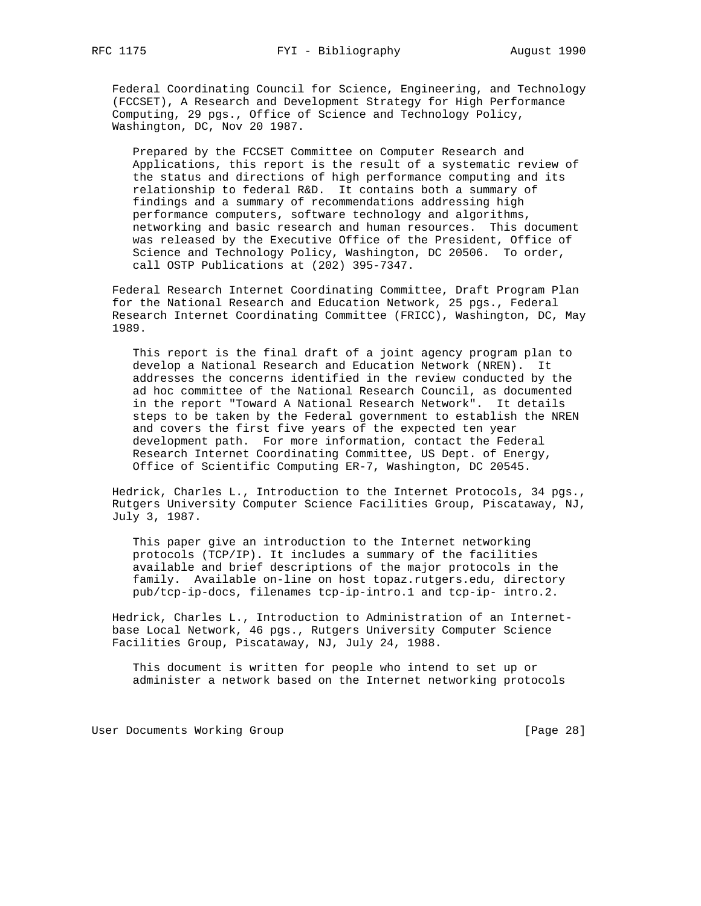Federal Coordinating Council for Science, Engineering, and Technology (FCCSET), A Research and Development Strategy for High Performance Computing, 29 pgs., Office of Science and Technology Policy, Washington, DC, Nov 20 1987.

 Prepared by the FCCSET Committee on Computer Research and Applications, this report is the result of a systematic review of the status and directions of high performance computing and its relationship to federal R&D. It contains both a summary of findings and a summary of recommendations addressing high performance computers, software technology and algorithms, networking and basic research and human resources. This document was released by the Executive Office of the President, Office of Science and Technology Policy, Washington, DC 20506. To order, call OSTP Publications at (202) 395-7347.

 Federal Research Internet Coordinating Committee, Draft Program Plan for the National Research and Education Network, 25 pgs., Federal Research Internet Coordinating Committee (FRICC), Washington, DC, May 1989.

 This report is the final draft of a joint agency program plan to develop a National Research and Education Network (NREN). It addresses the concerns identified in the review conducted by the ad hoc committee of the National Research Council, as documented in the report "Toward A National Research Network". It details steps to be taken by the Federal government to establish the NREN and covers the first five years of the expected ten year development path. For more information, contact the Federal Research Internet Coordinating Committee, US Dept. of Energy, Office of Scientific Computing ER-7, Washington, DC 20545.

 Hedrick, Charles L., Introduction to the Internet Protocols, 34 pgs., Rutgers University Computer Science Facilities Group, Piscataway, NJ, July 3, 1987.

 This paper give an introduction to the Internet networking protocols (TCP/IP). It includes a summary of the facilities available and brief descriptions of the major protocols in the family. Available on-line on host topaz.rutgers.edu, directory pub/tcp-ip-docs, filenames tcp-ip-intro.1 and tcp-ip- intro.2.

 Hedrick, Charles L., Introduction to Administration of an Internet base Local Network, 46 pgs., Rutgers University Computer Science Facilities Group, Piscataway, NJ, July 24, 1988.

 This document is written for people who intend to set up or administer a network based on the Internet networking protocols

User Documents Working Group **[Page 28]**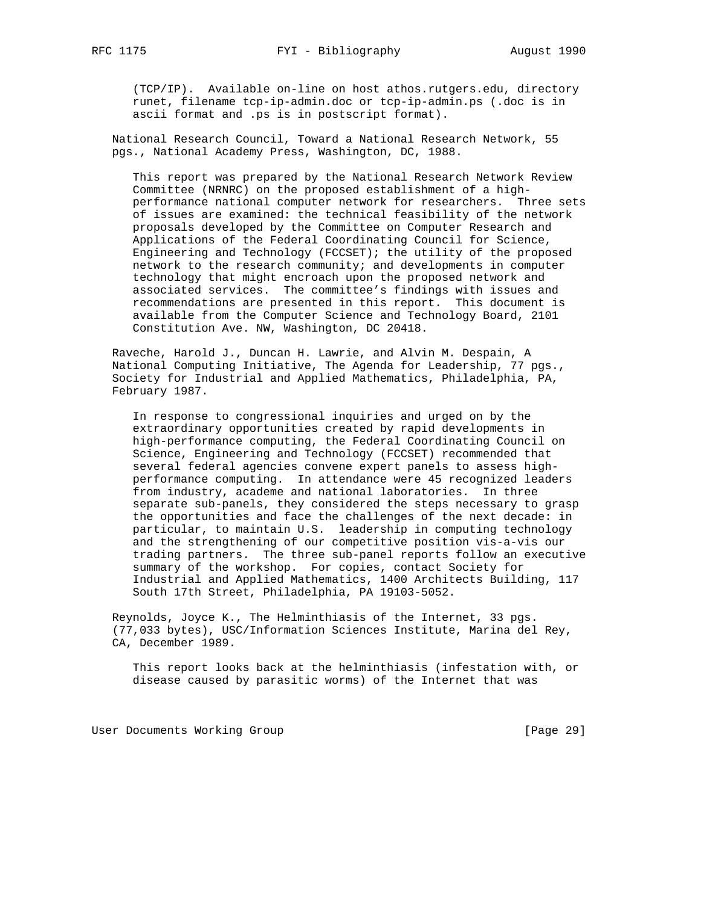(TCP/IP). Available on-line on host athos.rutgers.edu, directory runet, filename tcp-ip-admin.doc or tcp-ip-admin.ps (.doc is in ascii format and .ps is in postscript format).

 National Research Council, Toward a National Research Network, 55 pgs., National Academy Press, Washington, DC, 1988.

 This report was prepared by the National Research Network Review Committee (NRNRC) on the proposed establishment of a high performance national computer network for researchers. Three sets of issues are examined: the technical feasibility of the network proposals developed by the Committee on Computer Research and Applications of the Federal Coordinating Council for Science, Engineering and Technology (FCCSET); the utility of the proposed network to the research community; and developments in computer technology that might encroach upon the proposed network and associated services. The committee's findings with issues and recommendations are presented in this report. This document is available from the Computer Science and Technology Board, 2101 Constitution Ave. NW, Washington, DC 20418.

 Raveche, Harold J., Duncan H. Lawrie, and Alvin M. Despain, A National Computing Initiative, The Agenda for Leadership, 77 pgs., Society for Industrial and Applied Mathematics, Philadelphia, PA, February 1987.

 In response to congressional inquiries and urged on by the extraordinary opportunities created by rapid developments in high-performance computing, the Federal Coordinating Council on Science, Engineering and Technology (FCCSET) recommended that several federal agencies convene expert panels to assess high performance computing. In attendance were 45 recognized leaders from industry, academe and national laboratories. In three separate sub-panels, they considered the steps necessary to grasp the opportunities and face the challenges of the next decade: in particular, to maintain U.S. leadership in computing technology and the strengthening of our competitive position vis-a-vis our trading partners. The three sub-panel reports follow an executive summary of the workshop. For copies, contact Society for Industrial and Applied Mathematics, 1400 Architects Building, 117 South 17th Street, Philadelphia, PA 19103-5052.

 Reynolds, Joyce K., The Helminthiasis of the Internet, 33 pgs. (77,033 bytes), USC/Information Sciences Institute, Marina del Rey, CA, December 1989.

 This report looks back at the helminthiasis (infestation with, or disease caused by parasitic worms) of the Internet that was

User Documents Working Group **[Page 29]** [Page 29]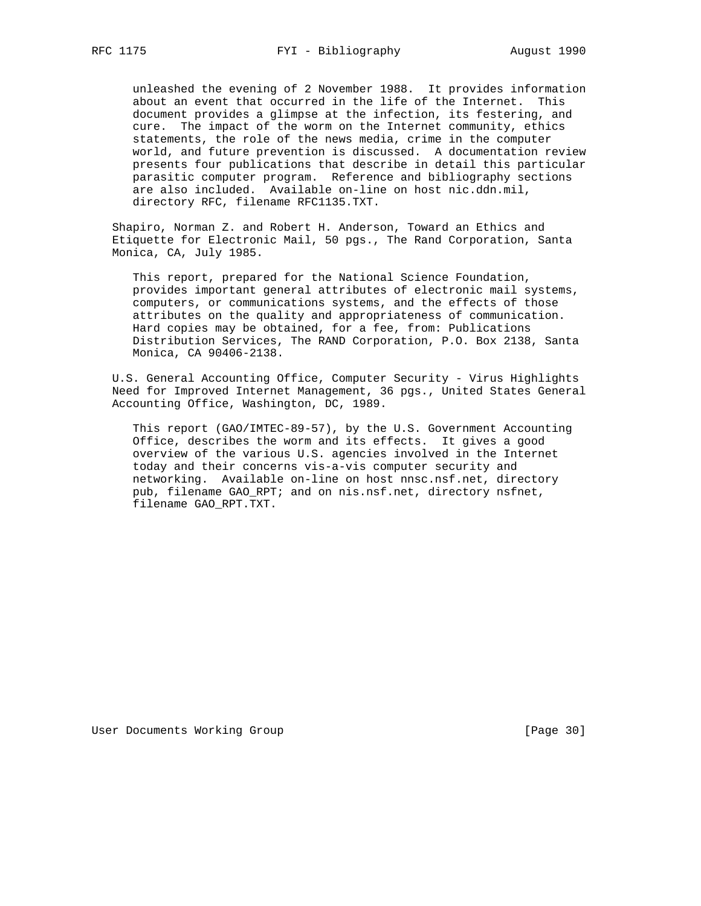unleashed the evening of 2 November 1988. It provides information about an event that occurred in the life of the Internet. This document provides a glimpse at the infection, its festering, and cure. The impact of the worm on the Internet community, ethics statements, the role of the news media, crime in the computer world, and future prevention is discussed. A documentation review presents four publications that describe in detail this particular parasitic computer program. Reference and bibliography sections are also included. Available on-line on host nic.ddn.mil, directory RFC, filename RFC1135.TXT.

 Shapiro, Norman Z. and Robert H. Anderson, Toward an Ethics and Etiquette for Electronic Mail, 50 pgs., The Rand Corporation, Santa Monica, CA, July 1985.

 This report, prepared for the National Science Foundation, provides important general attributes of electronic mail systems, computers, or communications systems, and the effects of those attributes on the quality and appropriateness of communication. Hard copies may be obtained, for a fee, from: Publications Distribution Services, The RAND Corporation, P.O. Box 2138, Santa Monica, CA 90406-2138.

 U.S. General Accounting Office, Computer Security - Virus Highlights Need for Improved Internet Management, 36 pgs., United States General Accounting Office, Washington, DC, 1989.

 This report (GAO/IMTEC-89-57), by the U.S. Government Accounting Office, describes the worm and its effects. It gives a good overview of the various U.S. agencies involved in the Internet today and their concerns vis-a-vis computer security and networking. Available on-line on host nnsc.nsf.net, directory pub, filename GAO\_RPT; and on nis.nsf.net, directory nsfnet, filename GAO\_RPT.TXT.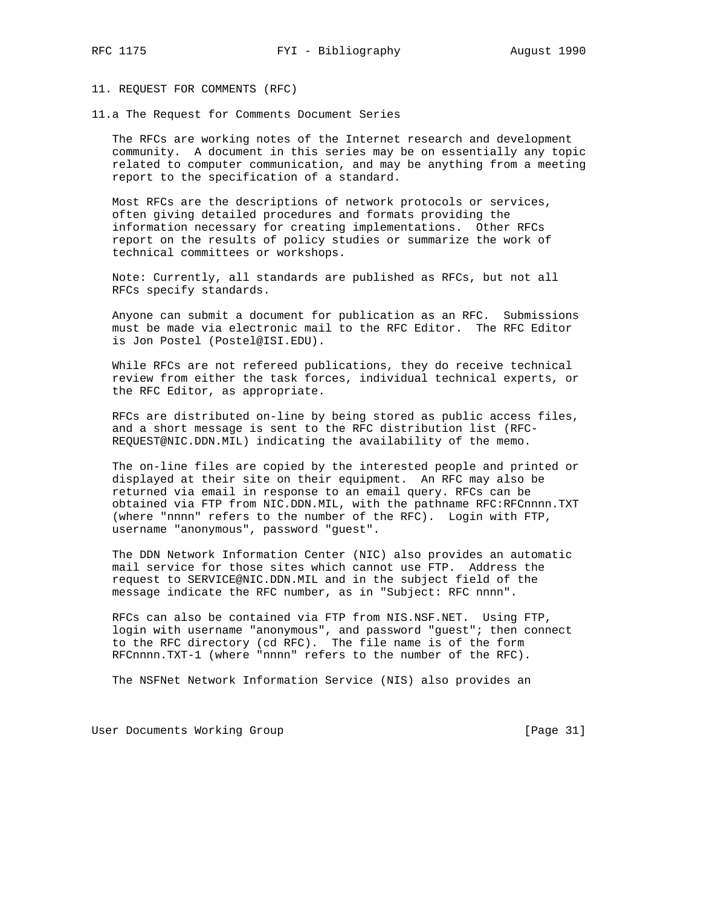11. REQUEST FOR COMMENTS (RFC)

11.a The Request for Comments Document Series

 The RFCs are working notes of the Internet research and development community. A document in this series may be on essentially any topic related to computer communication, and may be anything from a meeting report to the specification of a standard.

 Most RFCs are the descriptions of network protocols or services, often giving detailed procedures and formats providing the information necessary for creating implementations. Other RFCs report on the results of policy studies or summarize the work of technical committees or workshops.

 Note: Currently, all standards are published as RFCs, but not all RFCs specify standards.

 Anyone can submit a document for publication as an RFC. Submissions must be made via electronic mail to the RFC Editor. The RFC Editor is Jon Postel (Postel@ISI.EDU).

 While RFCs are not refereed publications, they do receive technical review from either the task forces, individual technical experts, or the RFC Editor, as appropriate.

 RFCs are distributed on-line by being stored as public access files, and a short message is sent to the RFC distribution list (RFC- REQUEST@NIC.DDN.MIL) indicating the availability of the memo.

 The on-line files are copied by the interested people and printed or displayed at their site on their equipment. An RFC may also be returned via email in response to an email query. RFCs can be obtained via FTP from NIC.DDN.MIL, with the pathname RFC:RFCnnnn.TXT (where "nnnn" refers to the number of the RFC). Login with FTP, username "anonymous", password "guest".

 The DDN Network Information Center (NIC) also provides an automatic mail service for those sites which cannot use FTP. Address the request to SERVICE@NIC.DDN.MIL and in the subject field of the message indicate the RFC number, as in "Subject: RFC nnnn".

 RFCs can also be contained via FTP from NIS.NSF.NET. Using FTP, login with username "anonymous", and password "guest"; then connect to the RFC directory (cd RFC). The file name is of the form RFCnnnn.TXT-1 (where "nnnn" refers to the number of the RFC).

The NSFNet Network Information Service (NIS) also provides an

User Documents Working Group and the contract of the contract of the contract of the contract of the US of the C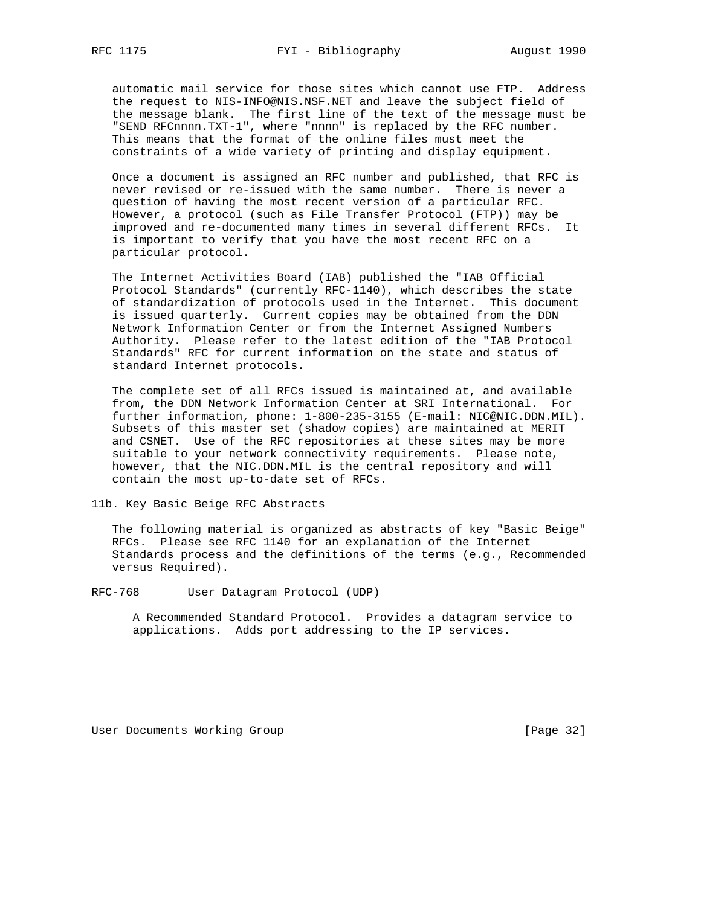automatic mail service for those sites which cannot use FTP. Address the request to NIS-INFO@NIS.NSF.NET and leave the subject field of the message blank. The first line of the text of the message must be "SEND RFCnnnn.TXT-1", where "nnnn" is replaced by the RFC number. This means that the format of the online files must meet the constraints of a wide variety of printing and display equipment.

 Once a document is assigned an RFC number and published, that RFC is never revised or re-issued with the same number. There is never a question of having the most recent version of a particular RFC. However, a protocol (such as File Transfer Protocol (FTP)) may be improved and re-documented many times in several different RFCs. It is important to verify that you have the most recent RFC on a particular protocol.

 The Internet Activities Board (IAB) published the "IAB Official Protocol Standards" (currently RFC-1140), which describes the state of standardization of protocols used in the Internet. This document is issued quarterly. Current copies may be obtained from the DDN Network Information Center or from the Internet Assigned Numbers Authority. Please refer to the latest edition of the "IAB Protocol Standards" RFC for current information on the state and status of standard Internet protocols.

 The complete set of all RFCs issued is maintained at, and available from, the DDN Network Information Center at SRI International. For further information, phone: 1-800-235-3155 (E-mail: NIC@NIC.DDN.MIL). Subsets of this master set (shadow copies) are maintained at MERIT and CSNET. Use of the RFC repositories at these sites may be more suitable to your network connectivity requirements. Please note, however, that the NIC.DDN.MIL is the central repository and will contain the most up-to-date set of RFCs.

11b. Key Basic Beige RFC Abstracts

 The following material is organized as abstracts of key "Basic Beige" RFCs. Please see RFC 1140 for an explanation of the Internet Standards process and the definitions of the terms (e.g., Recommended versus Required).

RFC-768 User Datagram Protocol (UDP)

 A Recommended Standard Protocol. Provides a datagram service to applications. Adds port addressing to the IP services.

User Documents Working Group **[Page 32]**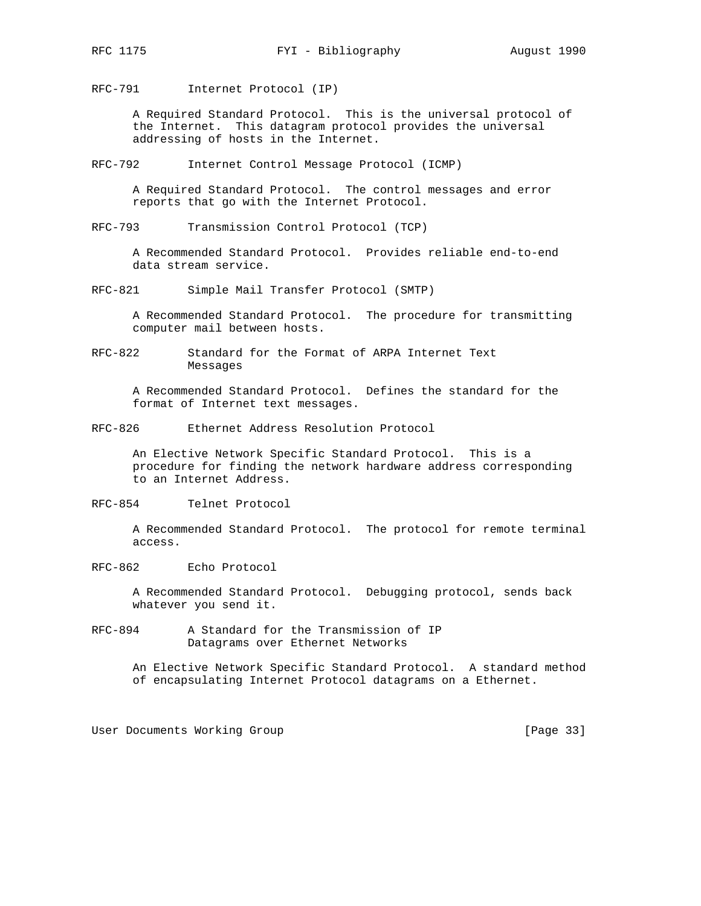RFC-791 Internet Protocol (IP)

 A Required Standard Protocol. This is the universal protocol of the Internet. This datagram protocol provides the universal addressing of hosts in the Internet.

RFC-792 Internet Control Message Protocol (ICMP)

 A Required Standard Protocol. The control messages and error reports that go with the Internet Protocol.

RFC-793 Transmission Control Protocol (TCP)

 A Recommended Standard Protocol. Provides reliable end-to-end data stream service.

RFC-821 Simple Mail Transfer Protocol (SMTP)

 A Recommended Standard Protocol. The procedure for transmitting computer mail between hosts.

RFC-822 Standard for the Format of ARPA Internet Text Messages

 A Recommended Standard Protocol. Defines the standard for the format of Internet text messages.

RFC-826 Ethernet Address Resolution Protocol

 An Elective Network Specific Standard Protocol. This is a procedure for finding the network hardware address corresponding to an Internet Address.

RFC-854 Telnet Protocol

 A Recommended Standard Protocol. The protocol for remote terminal access.

RFC-862 Echo Protocol

 A Recommended Standard Protocol. Debugging protocol, sends back whatever you send it.

RFC-894 A Standard for the Transmission of IP Datagrams over Ethernet Networks

> An Elective Network Specific Standard Protocol. A standard method of encapsulating Internet Protocol datagrams on a Ethernet.

User Documents Working Group [Page 33]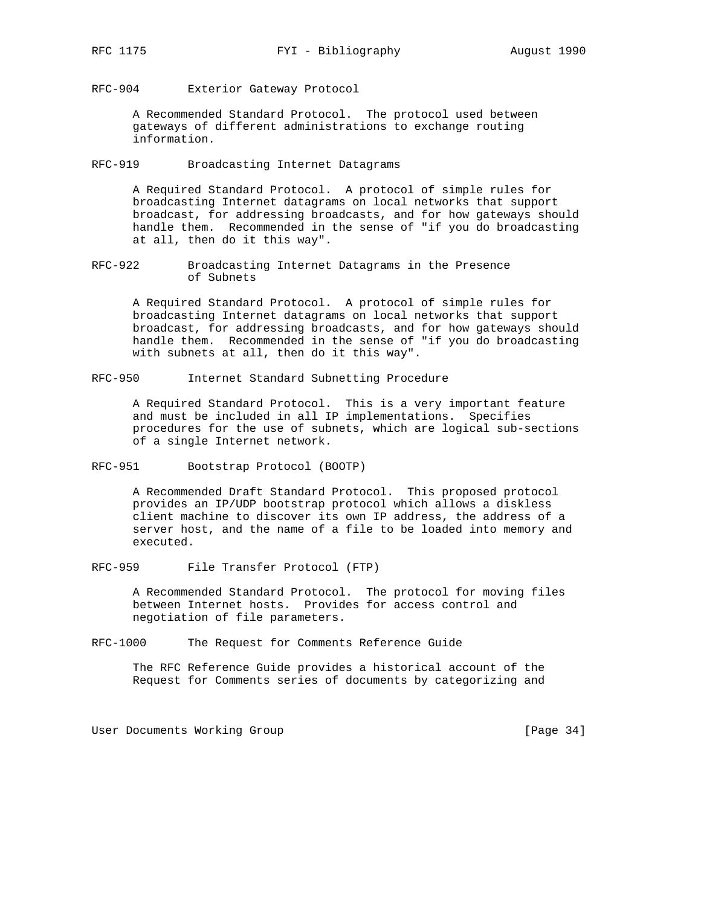RFC-904 Exterior Gateway Protocol

 A Recommended Standard Protocol. The protocol used between gateways of different administrations to exchange routing information.

RFC-919 Broadcasting Internet Datagrams

 A Required Standard Protocol. A protocol of simple rules for broadcasting Internet datagrams on local networks that support broadcast, for addressing broadcasts, and for how gateways should handle them. Recommended in the sense of "if you do broadcasting at all, then do it this way".

RFC-922 Broadcasting Internet Datagrams in the Presence of Subnets

 A Required Standard Protocol. A protocol of simple rules for broadcasting Internet datagrams on local networks that support broadcast, for addressing broadcasts, and for how gateways should handle them. Recommended in the sense of "if you do broadcasting with subnets at all, then do it this way".

RFC-950 Internet Standard Subnetting Procedure

 A Required Standard Protocol. This is a very important feature and must be included in all IP implementations. Specifies procedures for the use of subnets, which are logical sub-sections of a single Internet network.

RFC-951 Bootstrap Protocol (BOOTP)

 A Recommended Draft Standard Protocol. This proposed protocol provides an IP/UDP bootstrap protocol which allows a diskless client machine to discover its own IP address, the address of a server host, and the name of a file to be loaded into memory and executed.

RFC-959 File Transfer Protocol (FTP)

 A Recommended Standard Protocol. The protocol for moving files between Internet hosts. Provides for access control and negotiation of file parameters.

RFC-1000 The Request for Comments Reference Guide

 The RFC Reference Guide provides a historical account of the Request for Comments series of documents by categorizing and

User Documents Working Group and the contract of the User Case 34]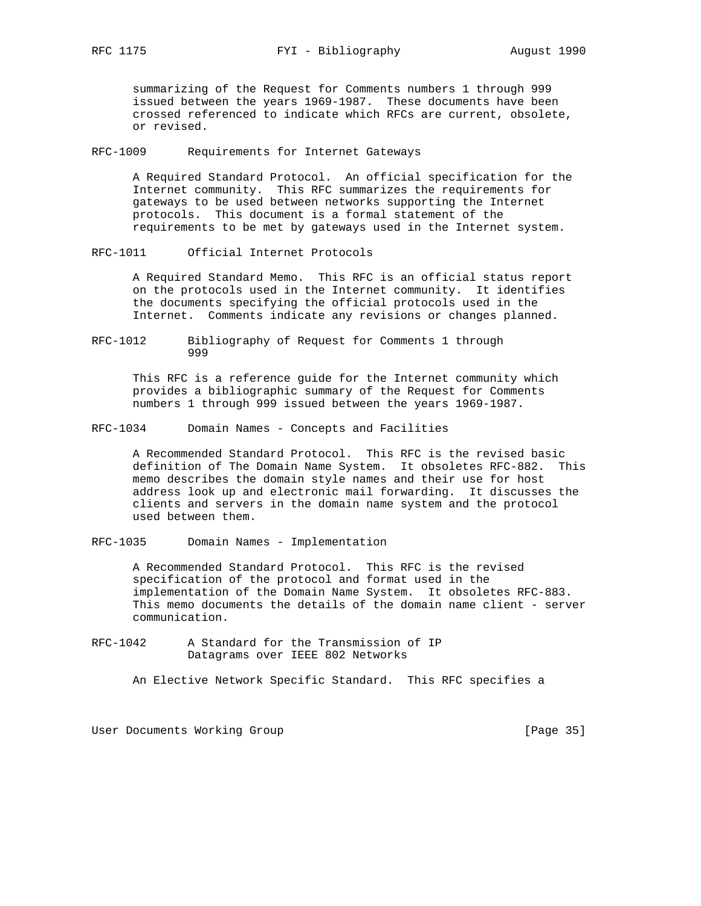summarizing of the Request for Comments numbers 1 through 999 issued between the years 1969-1987. These documents have been crossed referenced to indicate which RFCs are current, obsolete, or revised.

RFC-1009 Requirements for Internet Gateways

 A Required Standard Protocol. An official specification for the Internet community. This RFC summarizes the requirements for gateways to be used between networks supporting the Internet protocols. This document is a formal statement of the requirements to be met by gateways used in the Internet system.

RFC-1011 Official Internet Protocols

 A Required Standard Memo. This RFC is an official status report on the protocols used in the Internet community. It identifies the documents specifying the official protocols used in the Internet. Comments indicate any revisions or changes planned.

RFC-1012 Bibliography of Request for Comments 1 through 999

 This RFC is a reference guide for the Internet community which provides a bibliographic summary of the Request for Comments numbers 1 through 999 issued between the years 1969-1987.

RFC-1034 Domain Names - Concepts and Facilities

 A Recommended Standard Protocol. This RFC is the revised basic definition of The Domain Name System. It obsoletes RFC-882. This memo describes the domain style names and their use for host address look up and electronic mail forwarding. It discusses the clients and servers in the domain name system and the protocol used between them.

RFC-1035 Domain Names - Implementation

 A Recommended Standard Protocol. This RFC is the revised specification of the protocol and format used in the implementation of the Domain Name System. It obsoletes RFC-883. This memo documents the details of the domain name client - server communication.

RFC-1042 A Standard for the Transmission of IP Datagrams over IEEE 802 Networks

An Elective Network Specific Standard. This RFC specifies a

User Documents Working Group **[Page 35]**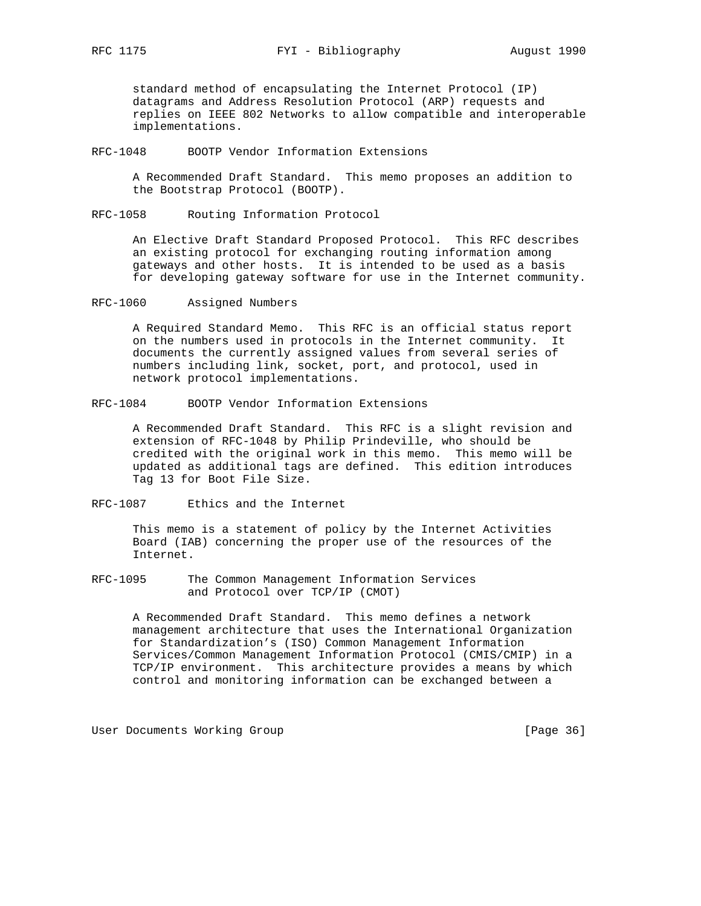standard method of encapsulating the Internet Protocol (IP) datagrams and Address Resolution Protocol (ARP) requests and replies on IEEE 802 Networks to allow compatible and interoperable implementations.

RFC-1048 BOOTP Vendor Information Extensions

 A Recommended Draft Standard. This memo proposes an addition to the Bootstrap Protocol (BOOTP).

RFC-1058 Routing Information Protocol

 An Elective Draft Standard Proposed Protocol. This RFC describes an existing protocol for exchanging routing information among gateways and other hosts. It is intended to be used as a basis for developing gateway software for use in the Internet community.

RFC-1060 Assigned Numbers

 A Required Standard Memo. This RFC is an official status report on the numbers used in protocols in the Internet community. It documents the currently assigned values from several series of numbers including link, socket, port, and protocol, used in network protocol implementations.

RFC-1084 BOOTP Vendor Information Extensions

 A Recommended Draft Standard. This RFC is a slight revision and extension of RFC-1048 by Philip Prindeville, who should be credited with the original work in this memo. This memo will be updated as additional tags are defined. This edition introduces Tag 13 for Boot File Size.

RFC-1087 Ethics and the Internet

 This memo is a statement of policy by the Internet Activities Board (IAB) concerning the proper use of the resources of the Internet.

RFC-1095 The Common Management Information Services and Protocol over TCP/IP (CMOT)

> A Recommended Draft Standard. This memo defines a network management architecture that uses the International Organization for Standardization's (ISO) Common Management Information Services/Common Management Information Protocol (CMIS/CMIP) in a TCP/IP environment. This architecture provides a means by which control and monitoring information can be exchanged between a

User Documents Working Group **[Page 36]** [Page 36]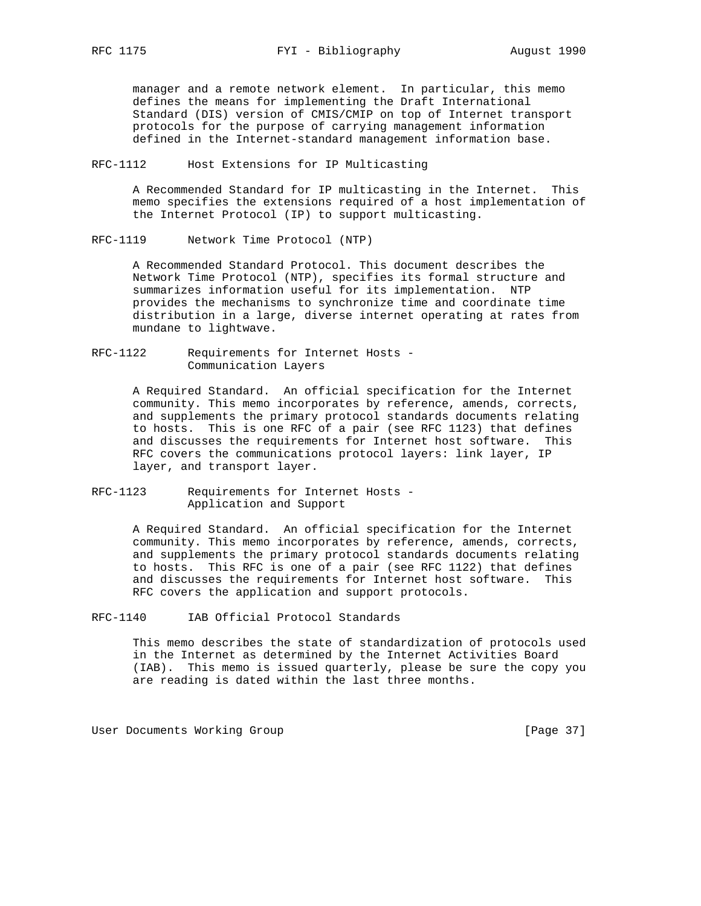manager and a remote network element. In particular, this memo defines the means for implementing the Draft International Standard (DIS) version of CMIS/CMIP on top of Internet transport protocols for the purpose of carrying management information defined in the Internet-standard management information base.

RFC-1112 Host Extensions for IP Multicasting

 A Recommended Standard for IP multicasting in the Internet. This memo specifies the extensions required of a host implementation of the Internet Protocol (IP) to support multicasting.

RFC-1119 Network Time Protocol (NTP)

 A Recommended Standard Protocol. This document describes the Network Time Protocol (NTP), specifies its formal structure and summarizes information useful for its implementation. NTP provides the mechanisms to synchronize time and coordinate time distribution in a large, diverse internet operating at rates from mundane to lightwave.

RFC-1122 Requirements for Internet Hosts - Communication Layers

> A Required Standard. An official specification for the Internet community. This memo incorporates by reference, amends, corrects, and supplements the primary protocol standards documents relating to hosts. This is one RFC of a pair (see RFC 1123) that defines and discusses the requirements for Internet host software. This RFC covers the communications protocol layers: link layer, IP layer, and transport layer.

RFC-1123 Requirements for Internet Hosts - Application and Support

> A Required Standard. An official specification for the Internet community. This memo incorporates by reference, amends, corrects, and supplements the primary protocol standards documents relating to hosts. This RFC is one of a pair (see RFC 1122) that defines and discusses the requirements for Internet host software. This RFC covers the application and support protocols.

RFC-1140 IAB Official Protocol Standards

 This memo describes the state of standardization of protocols used in the Internet as determined by the Internet Activities Board (IAB). This memo is issued quarterly, please be sure the copy you are reading is dated within the last three months.

User Documents Working Group and the contract of the contract of the contract of the contract of the US of the C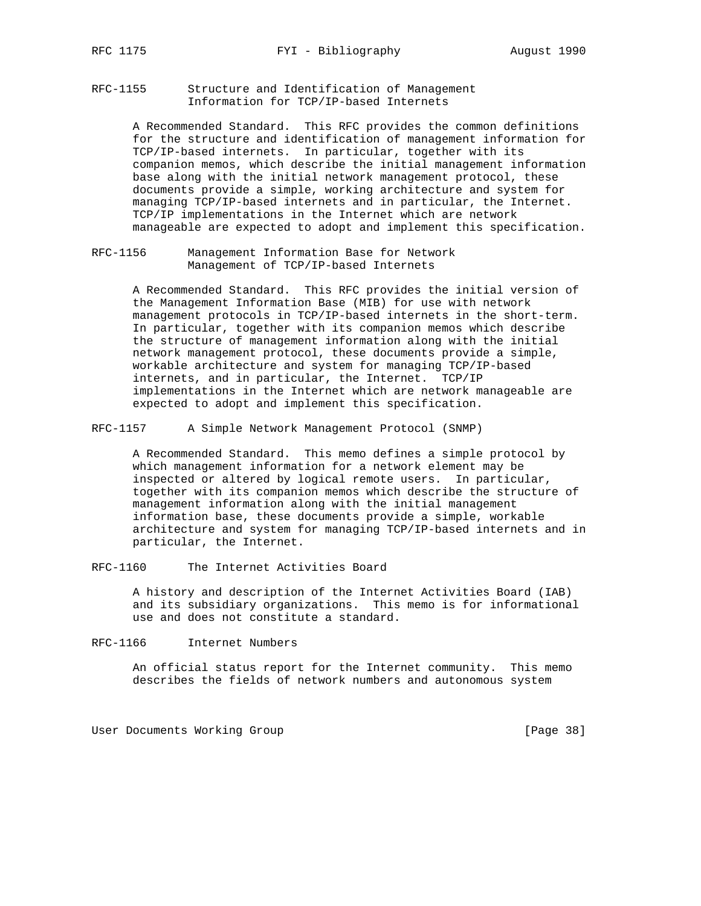RFC-1155 Structure and Identification of Management Information for TCP/IP-based Internets

> A Recommended Standard. This RFC provides the common definitions for the structure and identification of management information for TCP/IP-based internets. In particular, together with its companion memos, which describe the initial management information base along with the initial network management protocol, these documents provide a simple, working architecture and system for managing TCP/IP-based internets and in particular, the Internet. TCP/IP implementations in the Internet which are network manageable are expected to adopt and implement this specification.

RFC-1156 Management Information Base for Network Management of TCP/IP-based Internets

> A Recommended Standard. This RFC provides the initial version of the Management Information Base (MIB) for use with network management protocols in TCP/IP-based internets in the short-term. In particular, together with its companion memos which describe the structure of management information along with the initial network management protocol, these documents provide a simple, workable architecture and system for managing TCP/IP-based internets, and in particular, the Internet. TCP/IP implementations in the Internet which are network manageable are expected to adopt and implement this specification.

RFC-1157 A Simple Network Management Protocol (SNMP)

 A Recommended Standard. This memo defines a simple protocol by which management information for a network element may be inspected or altered by logical remote users. In particular, together with its companion memos which describe the structure of management information along with the initial management information base, these documents provide a simple, workable architecture and system for managing TCP/IP-based internets and in particular, the Internet.

RFC-1160 The Internet Activities Board

 A history and description of the Internet Activities Board (IAB) and its subsidiary organizations. This memo is for informational use and does not constitute a standard.

#### RFC-1166 Internet Numbers

 An official status report for the Internet community. This memo describes the fields of network numbers and autonomous system

User Documents Working Group **[Page 38]** [Page 38]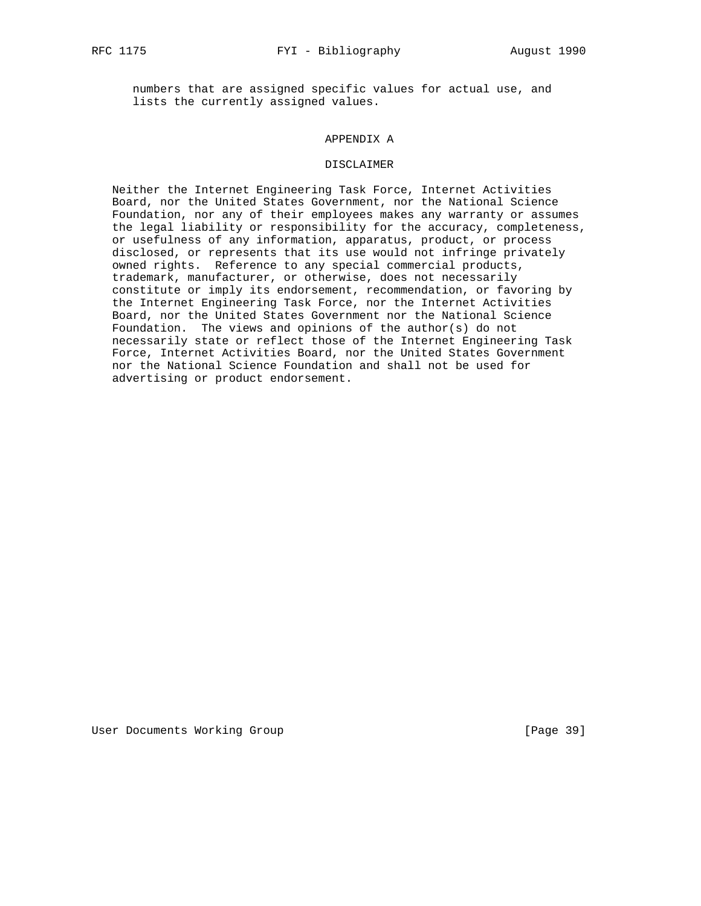numbers that are assigned specific values for actual use, and lists the currently assigned values.

## APPENDIX A

#### DISCLAIMER

 Neither the Internet Engineering Task Force, Internet Activities Board, nor the United States Government, nor the National Science Foundation, nor any of their employees makes any warranty or assumes the legal liability or responsibility for the accuracy, completeness, or usefulness of any information, apparatus, product, or process disclosed, or represents that its use would not infringe privately owned rights. Reference to any special commercial products, trademark, manufacturer, or otherwise, does not necessarily constitute or imply its endorsement, recommendation, or favoring by the Internet Engineering Task Force, nor the Internet Activities Board, nor the United States Government nor the National Science Foundation. The views and opinions of the author(s) do not necessarily state or reflect those of the Internet Engineering Task Force, Internet Activities Board, nor the United States Government nor the National Science Foundation and shall not be used for advertising or product endorsement.

User Documents Working Group **[Page 39]** [Page 39]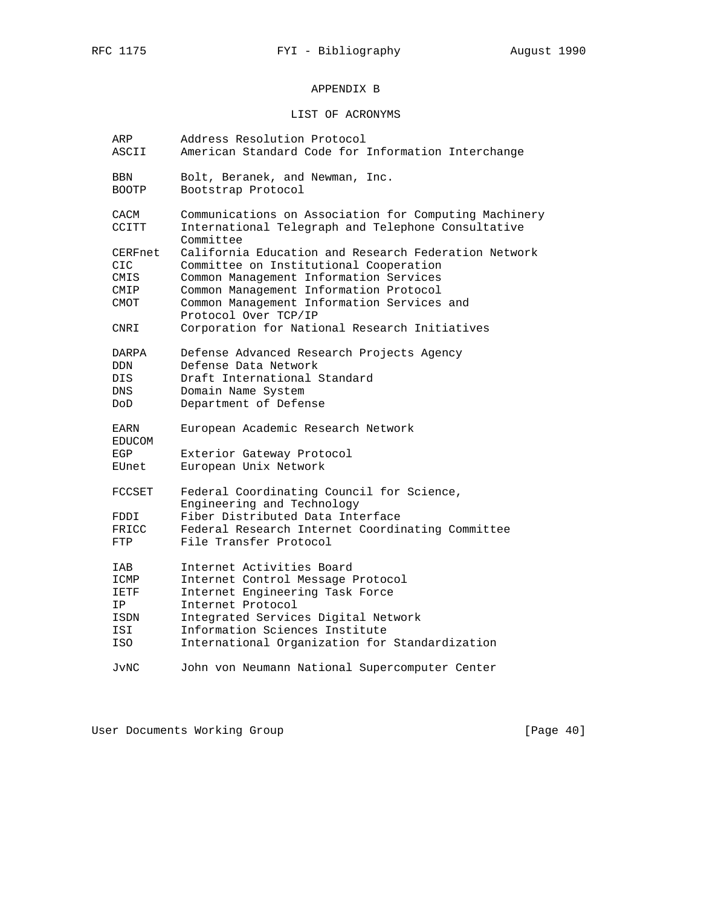# APPENDIX B

# LIST OF ACRONYMS

| ARP<br>ASCII          | Address Resolution Protocol<br>American Standard Code for Information Interchange |
|-----------------------|-----------------------------------------------------------------------------------|
| <b>BBN</b>            | Bolt, Beranek, and Newman, Inc.                                                   |
| <b>BOOTP</b>          | Bootstrap Protocol                                                                |
| CACM                  | Communications on Association for Computing Machinery                             |
| CCITT                 | International Telegraph and Telephone Consultative<br>Committee                   |
| CERFnet               | California Education and Research Federation Network                              |
| CIC.                  | Committee on Institutional Cooperation                                            |
| CMIS                  | Common Management Information Services                                            |
| CMIP                  | Common Management Information Protocol                                            |
| CMOT                  | Common Management Information Services and<br>Protocol Over TCP/IP                |
| CNRI                  | Corporation for National Research Initiatives                                     |
| DARPA                 | Defense Advanced Research Projects Agency                                         |
| <b>DDN</b>            | Defense Data Network                                                              |
| DIS                   | Draft International Standard                                                      |
| DNS.                  | Domain Name System                                                                |
| DoD                   | Department of Defense                                                             |
| EARN<br><b>EDUCOM</b> | European Academic Research Network                                                |
| EGP                   | Exterior Gateway Protocol                                                         |
| EUnet                 | European Unix Network                                                             |
| <b>FCCSET</b>         | Federal Coordinating Council for Science,<br>Engineering and Technology           |
| FDDI                  | Fiber Distributed Data Interface                                                  |
| FRICC                 | Federal Research Internet Coordinating Committee                                  |
| FTP                   | File Transfer Protocol                                                            |
| IAB                   | Internet Activities Board                                                         |
| ICMP                  | Internet Control Message Protocol                                                 |
| IETF                  | Internet Engineering Task Force                                                   |
| ΙP                    | Internet Protocol                                                                 |
| ISDN                  | Integrated Services Digital Network                                               |
| ISI                   | Information Sciences Institute                                                    |
| ISO                   | International Organization for Standardization                                    |
| JvNC                  | John von Neumann National Supercomputer Center                                    |

User Documents Working Group **[Page 40]**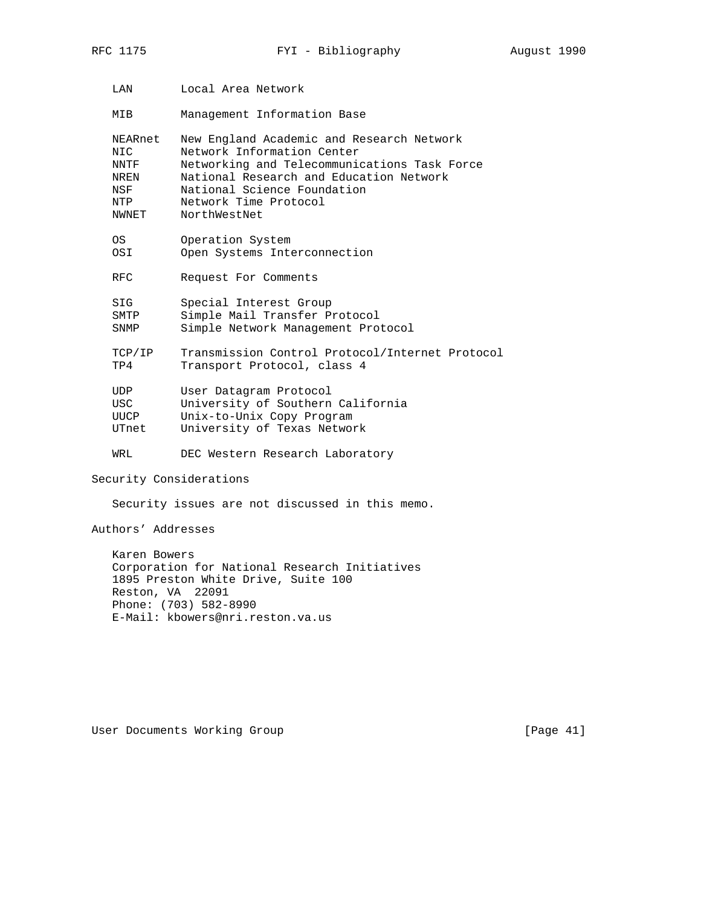LAN Local Area Network

MIB Management Information Base

|                         | NEARnet<br>NIC.<br>NNTF<br>NREN<br>NSF<br>NTP<br>NWNET | New England Academic and Research Network<br>Network Information Center<br>Networking and Telecommunications Task Force<br>National Research and Education Network<br>National Science Foundation<br>Network Time Protocol<br>NorthWestNet |  |  |  |
|-------------------------|--------------------------------------------------------|--------------------------------------------------------------------------------------------------------------------------------------------------------------------------------------------------------------------------------------------|--|--|--|
|                         | OS<br>OSI                                              | Operation System<br>Open Systems Interconnection                                                                                                                                                                                           |  |  |  |
|                         | RFC.                                                   | Request For Comments                                                                                                                                                                                                                       |  |  |  |
|                         | SIG<br>SMTP<br>SNMP                                    | Special Interest Group<br>Simple Mail Transfer Protocol<br>Simple Network Management Protocol                                                                                                                                              |  |  |  |
|                         | TCP/IP<br>TP4                                          | Transmission Control Protocol/Internet Protocol<br>Transport Protocol, class 4                                                                                                                                                             |  |  |  |
|                         | UDP<br><b>USC</b><br><b>UUCP</b><br>UTnet              | User Datagram Protocol<br>University of Southern California<br>Unix-to-Unix Copy Program<br>University of Texas Network                                                                                                                    |  |  |  |
|                         | WRL                                                    | DEC Western Research Laboratory                                                                                                                                                                                                            |  |  |  |
| Security Considerations |                                                        |                                                                                                                                                                                                                                            |  |  |  |
|                         | Security issues are not discussed in this memo.        |                                                                                                                                                                                                                                            |  |  |  |

Authors' Addresses

 Karen Bowers Corporation for National Research Initiatives 1895 Preston White Drive, Suite 100 Reston, VA 22091 Phone: (703) 582-8990 E-Mail: kbowers@nri.reston.va.us

User Documents Working Group and the control of the User Change of the User Change of the User Change of the U